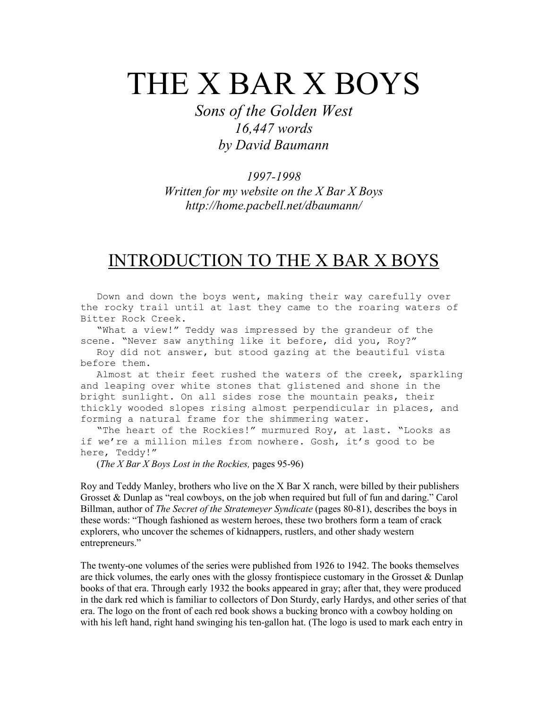# THE X BAR X BOYS

Sons of the Golden West 16,447 words by David Baumann

#### 1997-1998

Written for my website on the  $X$  Bar  $X$  Boys http://home.pacbell.net/dbaumann/

# INTRODUCTION TO THE X BAR X BOYS

 Down and down the boys went, making their way carefully over the rocky trail until at last they came to the roaring waters of Bitter Rock Creek.

 "What a view!" Teddy was impressed by the grandeur of the scene. "Never saw anything like it before, did you, Roy?"

 Roy did not answer, but stood gazing at the beautiful vista before them.

 Almost at their feet rushed the waters of the creek, sparkling and leaping over white stones that glistened and shone in the bright sunlight. On all sides rose the mountain peaks, their thickly wooded slopes rising almost perpendicular in places, and forming a natural frame for the shimmering water.

 "The heart of the Rockies!" murmured Roy, at last. "Looks as if we're a million miles from nowhere. Gosh, it's good to be here, Teddy!"

(The X Bar X Boys Lost in the Rockies, pages 95-96)

Roy and Teddy Manley, brothers who live on the X Bar X ranch, were billed by their publishers Grosset & Dunlap as "real cowboys, on the job when required but full of fun and daring." Carol Billman, author of *The Secret of the Stratemeyer Syndicate* (pages 80-81), describes the boys in these words: "Though fashioned as western heroes, these two brothers form a team of crack explorers, who uncover the schemes of kidnappers, rustlers, and other shady western entrepreneurs."

The twenty-one volumes of the series were published from 1926 to 1942. The books themselves are thick volumes, the early ones with the glossy frontispiece customary in the Grosset & Dunlap books of that era. Through early 1932 the books appeared in gray; after that, they were produced in the dark red which is familiar to collectors of Don Sturdy, early Hardys, and other series of that era. The logo on the front of each red book shows a bucking bronco with a cowboy holding on with his left hand, right hand swinging his ten-gallon hat. (The logo is used to mark each entry in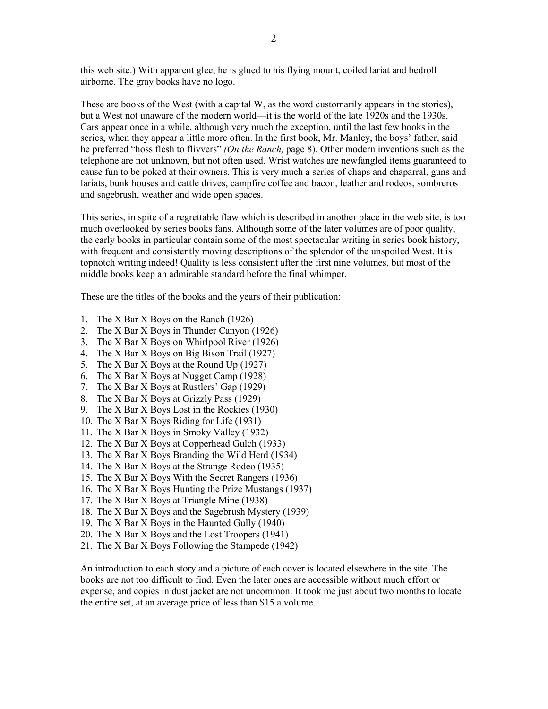this web site.) With apparent glee, he is glued to his flying mount, coiled lariat and bedroll airborne. The gray books have no logo.

These are books of the West (with a capital W, as the word customarily appears in the stories), but a West not unaware of the modern world—it is the world of the late 1920s and the 1930s. Cars appear once in a while, although very much the exception, until the last few books in the series, when they appear a little more often. In the first book, Mr. Manley, the boys' father, said he preferred "hoss flesh to flivvers" (On the Ranch, page 8). Other modern inventions such as the telephone are not unknown, but not often used. Wrist watches are newfangled items guaranteed to cause fun to be poked at their owners. This is very much a series of chaps and chaparral, guns and lariats, bunk houses and cattle drives, campfire coffee and bacon, leather and rodeos, sombreros and sagebrush, weather and wide open spaces.

This series, in spite of a regrettable flaw which is described in another place in the web site, is too much overlooked by series books fans. Although some of the later volumes are of poor quality, the early books in particular contain some of the most spectacular writing in series book history, with frequent and consistently moving descriptions of the splendor of the unspoiled West. It is topnotch writing indeed! Quality is less consistent after the first nine volumes, but most of the middle books keep an admirable standard before the final whimper.

These are the titles of the books and the years of their publication:

- 1. The X Bar X Boys on the Ranch (1926)
- 2. The X Bar X Boys in Thunder Canyon (1926)
- 3. The X Bar X Boys on Whirlpool River (1926)
- 4. The X Bar X Boys on Big Bison Trail (1927)
- 5. The X Bar X Boys at the Round Up (1927)
- 6. The X Bar X Boys at Nugget Camp (1928)
- 7. The X Bar X Boys at Rustlers' Gap (1929)
- 8. The X Bar X Boys at Grizzly Pass (1929)
- 9. The X Bar X Boys Lost in the Rockies (1930)
- 10. The X Bar X Boys Riding for Life (1931)
- 11. The X Bar X Boys in Smoky Valley (1932)
- 12. The X Bar X Boys at Copperhead Gulch (1933)
- 13. The X Bar X Boys Branding the Wild Herd (1934)
- 14. The X Bar X Boys at the Strange Rodeo (1935)
- 15. The X Bar X Boys With the Secret Rangers (1936)
- 16. The X Bar X Boys Hunting the Prize Mustangs (1937)
- 17. The X Bar X Boys at Triangle Mine (1938)
- 18. The X Bar X Boys and the Sagebrush Mystery (1939)
- 19. The X Bar X Boys in the Haunted Gully (1940)
- 20. The X Bar X Boys and the Lost Troopers (1941)
- 21. The X Bar X Boys Following the Stampede (1942)

An introduction to each story and a picture of each cover is located elsewhere in the site. The books are not too difficult to find. Even the later ones are accessible without much effort or expense, and copies in dust jacket are not uncommon. It took me just about two months to locate the entire set, at an average price of less than \$15 a volume.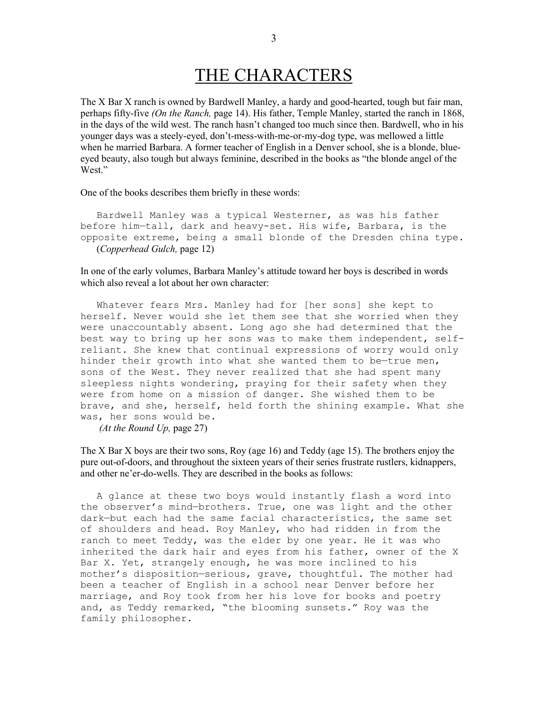# THE CHARACTERS

The X Bar X ranch is owned by Bardwell Manley, a hardy and good-hearted, tough but fair man, perhaps fifty-five (On the Ranch, page 14). His father, Temple Manley, started the ranch in 1868, in the days of the wild west. The ranch hasn't changed too much since then. Bardwell, who in his younger days was a steely-eyed, don't-mess-with-me-or-my-dog type, was mellowed a little when he married Barbara. A former teacher of English in a Denver school, she is a blonde, blueeyed beauty, also tough but always feminine, described in the books as "the blonde angel of the West."

One of the books describes them briefly in these words:

 Bardwell Manley was a typical Westerner, as was his father before him—tall, dark and heavy-set. His wife, Barbara, is the opposite extreme, being a small blonde of the Dresden china type. (Copperhead Gulch, page 12)

In one of the early volumes, Barbara Manley's attitude toward her boys is described in words which also reveal a lot about her own character:

 Whatever fears Mrs. Manley had for [her sons] she kept to herself. Never would she let them see that she worried when they were unaccountably absent. Long ago she had determined that the best way to bring up her sons was to make them independent, selfreliant. She knew that continual expressions of worry would only hinder their growth into what she wanted them to be—true men, sons of the West. They never realized that she had spent many sleepless nights wondering, praying for their safety when they were from home on a mission of danger. She wished them to be brave, and she, herself, held forth the shining example. What she was, her sons would be. (At the Round Up, page 27)

The X Bar X boys are their two sons, Roy (age 16) and Teddy (age 15). The brothers enjoy the pure out-of-doors, and throughout the sixteen years of their series frustrate rustlers, kidnappers, and other ne'er-do-wells. They are described in the books as follows:

A glance at these two boys would instantly flash a word into the observer's mind—brothers. True, one was light and the other dark—but each had the same facial characteristics, the same set of shoulders and head. Roy Manley, who had ridden in from the ranch to meet Teddy, was the elder by one year. He it was who inherited the dark hair and eyes from his father, owner of the X Bar X. Yet, strangely enough, he was more inclined to his mother's disposition—serious, grave, thoughtful. The mother had been a teacher of English in a school near Denver before her marriage, and Roy took from her his love for books and poetry and, as Teddy remarked, "the blooming sunsets." Roy was the family philosopher.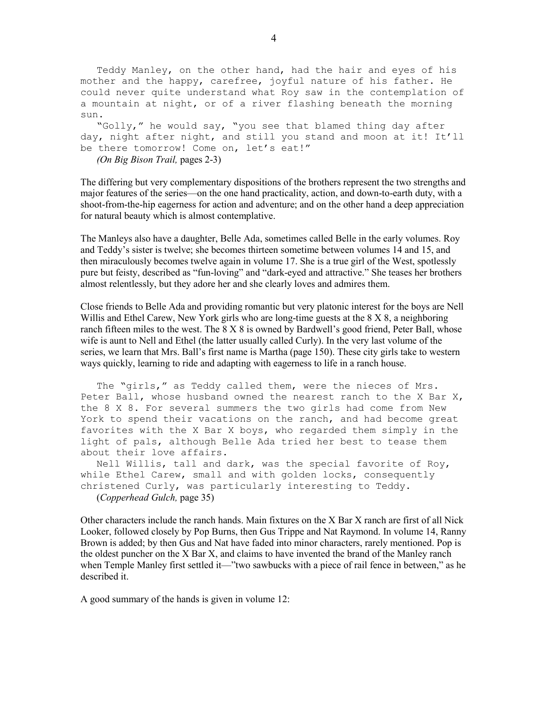Teddy Manley, on the other hand, had the hair and eyes of his mother and the happy, carefree, joyful nature of his father. He could never quite understand what Roy saw in the contemplation of a mountain at night, or of a river flashing beneath the morning sun. "Golly," he would say, "you see that blamed thing day after day, night after night, and still you stand and moon at it! It'll

be there tomorrow! Come on, let's eat!" (On Big Bison Trail, pages 2-3)

The differing but very complementary dispositions of the brothers represent the two strengths and major features of the series—on the one hand practicality, action, and down-to-earth duty, with a shoot-from-the-hip eagerness for action and adventure; and on the other hand a deep appreciation for natural beauty which is almost contemplative.

The Manleys also have a daughter, Belle Ada, sometimes called Belle in the early volumes. Roy and Teddy's sister is twelve; she becomes thirteen sometime between volumes 14 and 15, and then miraculously becomes twelve again in volume 17. She is a true girl of the West, spotlessly pure but feisty, described as "fun-loving" and "dark-eyed and attractive." She teases her brothers almost relentlessly, but they adore her and she clearly loves and admires them.

Close friends to Belle Ada and providing romantic but very platonic interest for the boys are Nell Willis and Ethel Carew, New York girls who are long-time guests at the 8 X 8, a neighboring ranch fifteen miles to the west. The 8 X 8 is owned by Bardwell's good friend, Peter Ball, whose wife is aunt to Nell and Ethel (the latter usually called Curly). In the very last volume of the series, we learn that Mrs. Ball's first name is Martha (page 150). These city girls take to western ways quickly, learning to ride and adapting with eagerness to life in a ranch house.

 The "girls," as Teddy called them, were the nieces of Mrs. Peter Ball, whose husband owned the nearest ranch to the X Bar X, the 8 X 8. For several summers the two girls had come from New York to spend their vacations on the ranch, and had become great favorites with the X Bar X boys, who regarded them simply in the light of pals, although Belle Ada tried her best to tease them about their love affairs.

 Nell Willis, tall and dark, was the special favorite of Roy, while Ethel Carew, small and with golden locks, consequently christened Curly, was particularly interesting to Teddy. (Copperhead Gulch, page 35)

Other characters include the ranch hands. Main fixtures on the X Bar X ranch are first of all Nick Looker, followed closely by Pop Burns, then Gus Trippe and Nat Raymond. In volume 14, Ranny Brown is added; by then Gus and Nat have faded into minor characters, rarely mentioned. Pop is the oldest puncher on the X Bar X, and claims to have invented the brand of the Manley ranch when Temple Manley first settled it—"two sawbucks with a piece of rail fence in between," as he described it.

A good summary of the hands is given in volume 12: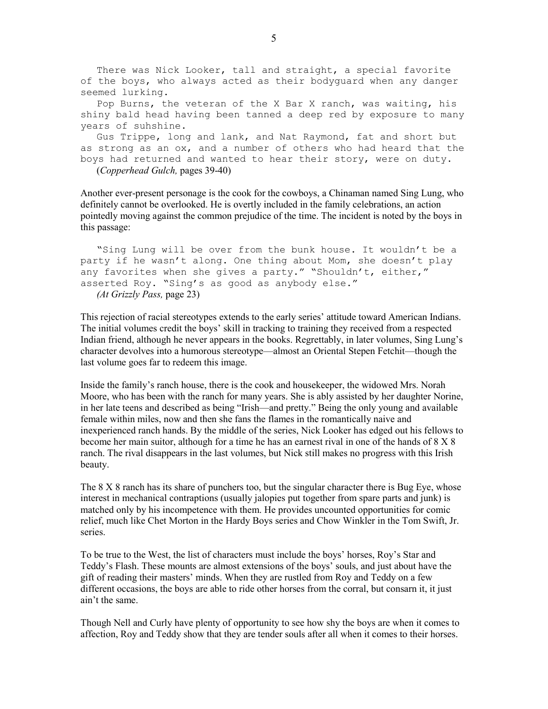There was Nick Looker, tall and straight, a special favorite of the boys, who always acted as their bodyguard when any danger seemed lurking.

 Pop Burns, the veteran of the X Bar X ranch, was waiting, his shiny bald head having been tanned a deep red by exposure to many years of suhshine.

 Gus Trippe, long and lank, and Nat Raymond, fat and short but as strong as an ox, and a number of others who had heard that the boys had returned and wanted to hear their story, were on duty.

(Copperhead Gulch, pages 39-40)

Another ever-present personage is the cook for the cowboys, a Chinaman named Sing Lung, who definitely cannot be overlooked. He is overtly included in the family celebrations, an action pointedly moving against the common prejudice of the time. The incident is noted by the boys in this passage:

 "Sing Lung will be over from the bunk house. It wouldn't be a party if he wasn't along. One thing about Mom, she doesn't play any favorites when she gives a party." "Shouldn't, either," asserted Roy. "Sing's as good as anybody else." (At Grizzly Pass, page 23)

This rejection of racial stereotypes extends to the early series' attitude toward American Indians. The initial volumes credit the boys' skill in tracking to training they received from a respected Indian friend, although he never appears in the books. Regrettably, in later volumes, Sing Lung's character devolves into a humorous stereotype—almost an Oriental Stepen Fetchit—though the last volume goes far to redeem this image.

Inside the family's ranch house, there is the cook and housekeeper, the widowed Mrs. Norah Moore, who has been with the ranch for many years. She is ably assisted by her daughter Norine, in her late teens and described as being "Irish—and pretty." Being the only young and available female within miles, now and then she fans the flames in the romantically naive and inexperienced ranch hands. By the middle of the series, Nick Looker has edged out his fellows to become her main suitor, although for a time he has an earnest rival in one of the hands of 8 X 8 ranch. The rival disappears in the last volumes, but Nick still makes no progress with this Irish beauty.

The 8 X 8 ranch has its share of punchers too, but the singular character there is Bug Eye, whose interest in mechanical contraptions (usually jalopies put together from spare parts and junk) is matched only by his incompetence with them. He provides uncounted opportunities for comic relief, much like Chet Morton in the Hardy Boys series and Chow Winkler in the Tom Swift, Jr. series.

To be true to the West, the list of characters must include the boys' horses, Roy's Star and Teddy's Flash. These mounts are almost extensions of the boys' souls, and just about have the gift of reading their masters' minds. When they are rustled from Roy and Teddy on a few different occasions, the boys are able to ride other horses from the corral, but consarn it, it just ain't the same.

Though Nell and Curly have plenty of opportunity to see how shy the boys are when it comes to affection, Roy and Teddy show that they are tender souls after all when it comes to their horses.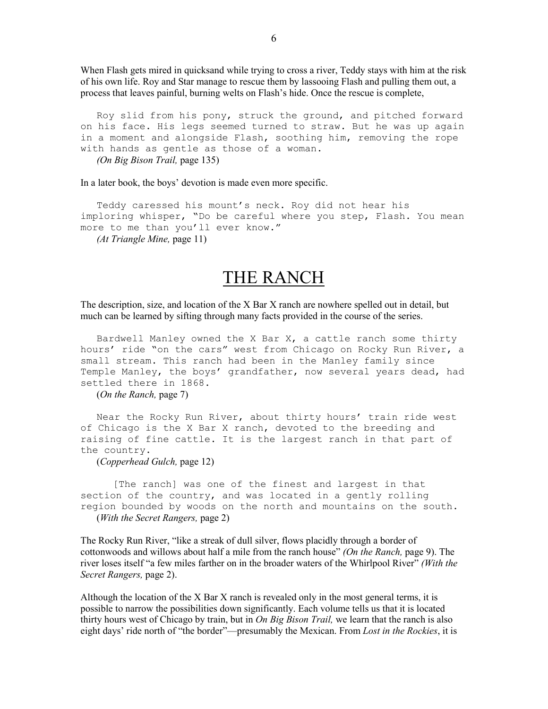When Flash gets mired in quicksand while trying to cross a river, Teddy stays with him at the risk of his own life. Roy and Star manage to rescue them by lassooing Flash and pulling them out, a process that leaves painful, burning welts on Flash's hide. Once the rescue is complete,

 Roy slid from his pony, struck the ground, and pitched forward on his face. His legs seemed turned to straw. But he was up again in a moment and alongside Flash, soothing him, removing the rope with hands as gentle as those of a woman. (On Big Bison Trail, page 135)

In a later book, the boys' devotion is made even more specific.

 Teddy caressed his mount's neck. Roy did not hear his imploring whisper, "Do be careful where you step, Flash. You mean more to me than you'll ever know."

(At Triangle Mine, page 11)

### THE RANCH

The description, size, and location of the X Bar X ranch are nowhere spelled out in detail, but much can be learned by sifting through many facts provided in the course of the series.

 Bardwell Manley owned the X Bar X, a cattle ranch some thirty hours' ride "on the cars" west from Chicago on Rocky Run River, a small stream. This ranch had been in the Manley family since Temple Manley, the boys' grandfather, now several years dead, had settled there in 1868.

(On the Ranch, page 7)

Near the Rocky Run River, about thirty hours' train ride west of Chicago is the X Bar X ranch, devoted to the breeding and raising of fine cattle. It is the largest ranch in that part of the country.

(Copperhead Gulch, page 12)

 [The ranch] was one of the finest and largest in that section of the country, and was located in a gently rolling region bounded by woods on the north and mountains on the south. (With the Secret Rangers, page 2)

The Rocky Run River, "like a streak of dull silver, flows placidly through a border of cottonwoods and willows about half a mile from the ranch house" (On the Ranch, page 9). The river loses itself "a few miles farther on in the broader waters of the Whirlpool River" *(With the* Secret Rangers, page 2).

Although the location of the X Bar X ranch is revealed only in the most general terms, it is possible to narrow the possibilities down significantly. Each volume tells us that it is located thirty hours west of Chicago by train, but in On Big Bison Trail, we learn that the ranch is also eight days' ride north of "the border"—presumably the Mexican. From Lost in the Rockies, it is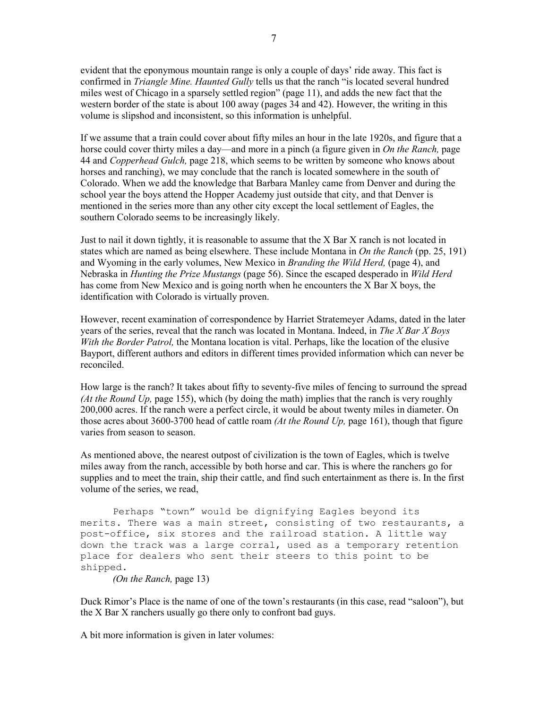evident that the eponymous mountain range is only a couple of days' ride away. This fact is confirmed in *Triangle Mine. Haunted Gully* tells us that the ranch "is located several hundred miles west of Chicago in a sparsely settled region" (page 11), and adds the new fact that the western border of the state is about 100 away (pages 34 and 42). However, the writing in this volume is slipshod and inconsistent, so this information is unhelpful.

If we assume that a train could cover about fifty miles an hour in the late 1920s, and figure that a horse could cover thirty miles a day—and more in a pinch (a figure given in *On the Ranch*, page 44 and *Copperhead Gulch*, page 218, which seems to be written by someone who knows about horses and ranching), we may conclude that the ranch is located somewhere in the south of Colorado. When we add the knowledge that Barbara Manley came from Denver and during the school year the boys attend the Hopper Academy just outside that city, and that Denver is mentioned in the series more than any other city except the local settlement of Eagles, the southern Colorado seems to be increasingly likely.

Just to nail it down tightly, it is reasonable to assume that the X Bar X ranch is not located in states which are named as being elsewhere. These include Montana in On the Ranch (pp. 25, 191) and Wyoming in the early volumes, New Mexico in *Branding the Wild Herd*, (page 4), and Nebraska in *Hunting the Prize Mustangs* (page 56). Since the escaped desperado in *Wild Herd* has come from New Mexico and is going north when he encounters the X Bar X boys, the identification with Colorado is virtually proven.

However, recent examination of correspondence by Harriet Stratemeyer Adams, dated in the later years of the series, reveal that the ranch was located in Montana. Indeed, in The X Bar X Boys With the Border Patrol, the Montana location is vital. Perhaps, like the location of the elusive Bayport, different authors and editors in different times provided information which can never be reconciled.

How large is the ranch? It takes about fifty to seventy-five miles of fencing to surround the spread (At the Round Up, page 155), which (by doing the math) implies that the ranch is very roughly 200,000 acres. If the ranch were a perfect circle, it would be about twenty miles in diameter. On those acres about 3600-3700 head of cattle roam (At the Round Up, page 161), though that figure varies from season to season.

As mentioned above, the nearest outpost of civilization is the town of Eagles, which is twelve miles away from the ranch, accessible by both horse and car. This is where the ranchers go for supplies and to meet the train, ship their cattle, and find such entertainment as there is. In the first volume of the series, we read,

 Perhaps "town" would be dignifying Eagles beyond its merits. There was a main street, consisting of two restaurants, a post-office, six stores and the railroad station. A little way down the track was a large corral, used as a temporary retention place for dealers who sent their steers to this point to be shipped.

(On the Ranch, page 13)

Duck Rimor's Place is the name of one of the town's restaurants (in this case, read "saloon"), but the X Bar X ranchers usually go there only to confront bad guys.

A bit more information is given in later volumes: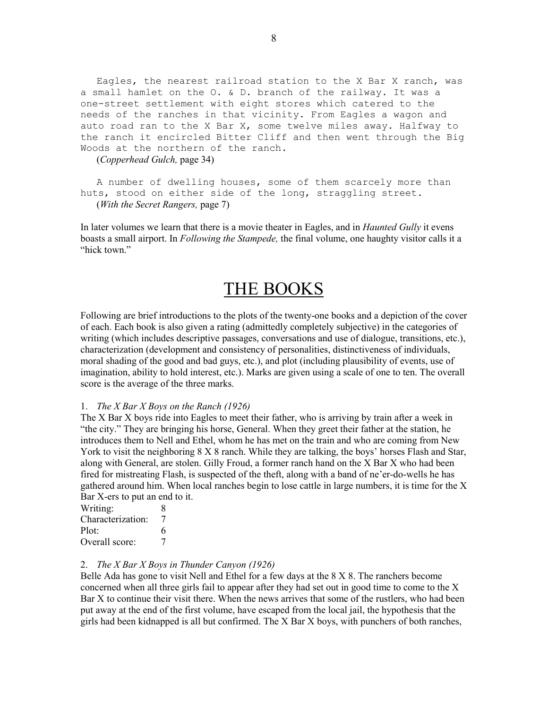Eagles, the nearest railroad station to the X Bar X ranch, was a small hamlet on the O. & D. branch of the railway. It was a one-street settlement with eight stores which catered to the needs of the ranches in that vicinity. From Eagles a wagon and auto road ran to the X Bar X, some twelve miles away. Halfway to the ranch it encircled Bitter Cliff and then went through the Big Woods at the northern of the ranch.

(Copperhead Gulch, page 34)

A number of dwelling houses, some of them scarcely more than huts, stood on either side of the long, straggling street. (With the Secret Rangers, page 7)

In later volumes we learn that there is a movie theater in Eagles, and in *Haunted Gully* it evens boasts a small airport. In *Following the Stampede*, the final volume, one haughty visitor calls it a "hick town."

### THE BOOKS

Following are brief introductions to the plots of the twenty-one books and a depiction of the cover of each. Each book is also given a rating (admittedly completely subjective) in the categories of writing (which includes descriptive passages, conversations and use of dialogue, transitions, etc.), characterization (development and consistency of personalities, distinctiveness of individuals, moral shading of the good and bad guys, etc.), and plot (including plausibility of events, use of imagination, ability to hold interest, etc.). Marks are given using a scale of one to ten. The overall score is the average of the three marks.

#### 1. The X Bar X Boys on the Ranch (1926)

The X Bar X boys ride into Eagles to meet their father, who is arriving by train after a week in "the city." They are bringing his horse, General. When they greet their father at the station, he introduces them to Nell and Ethel, whom he has met on the train and who are coming from New York to visit the neighboring 8 X 8 ranch. While they are talking, the boys' horses Flash and Star, along with General, are stolen. Gilly Froud, a former ranch hand on the X Bar X who had been fired for mistreating Flash, is suspected of the theft, along with a band of ne'er-do-wells he has gathered around him. When local ranches begin to lose cattle in large numbers, it is time for the X Bar X-ers to put an end to it.

Writing: 8 Characterization: 7 Plot: 6 Overall score: 7

#### 2. The X Bar X Boys in Thunder Canyon (1926)

Belle Ada has gone to visit Nell and Ethel for a few days at the 8 X 8. The ranchers become concerned when all three girls fail to appear after they had set out in good time to come to the X Bar X to continue their visit there. When the news arrives that some of the rustlers, who had been put away at the end of the first volume, have escaped from the local jail, the hypothesis that the girls had been kidnapped is all but confirmed. The  $X$  Bar  $X$  boys, with punchers of both ranches,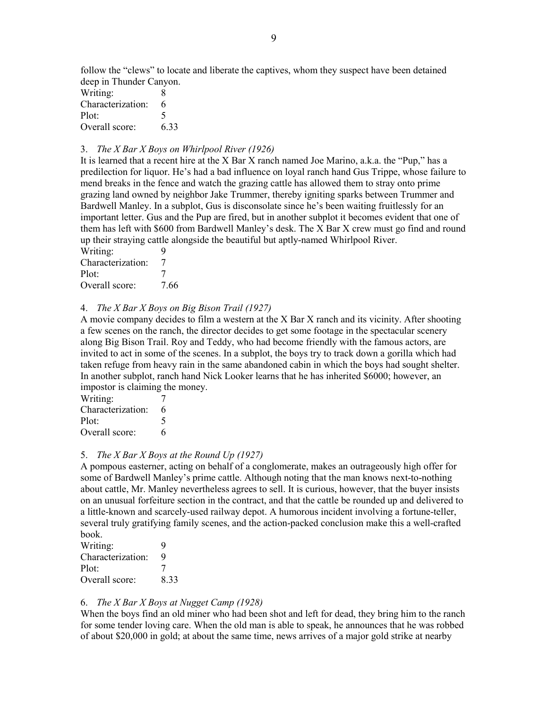follow the "clews" to locate and liberate the captives, whom they suspect have been detained deep in Thunder Canyon.

| Writing:          | 8    |
|-------------------|------|
| Characterization: | 6    |
| Plot:             | 5    |
| Overall score:    | 6.33 |

#### 3. The X Bar X Boys on Whirlpool River (1926)

It is learned that a recent hire at the X Bar X ranch named Joe Marino, a.k.a. the "Pup," has a predilection for liquor. He's had a bad influence on loyal ranch hand Gus Trippe, whose failure to mend breaks in the fence and watch the grazing cattle has allowed them to stray onto prime grazing land owned by neighbor Jake Trummer, thereby igniting sparks between Trummer and Bardwell Manley. In a subplot, Gus is disconsolate since he's been waiting fruitlessly for an important letter. Gus and the Pup are fired, but in another subplot it becomes evident that one of them has left with \$600 from Bardwell Manley's desk. The X Bar X crew must go find and round up their straying cattle alongside the beautiful but aptly-named Whirlpool River.

| Writing:          | q    |
|-------------------|------|
| Characterization: |      |
| Plot:             | 7    |
| Overall score:    | 7.66 |

#### 4. The X Bar X Boys on Big Bison Trail (1927)

A movie company decides to film a western at the X Bar X ranch and its vicinity. After shooting a few scenes on the ranch, the director decides to get some footage in the spectacular scenery along Big Bison Trail. Roy and Teddy, who had become friendly with the famous actors, are invited to act in some of the scenes. In a subplot, the boys try to track down a gorilla which had taken refuge from heavy rain in the same abandoned cabin in which the boys had sought shelter. In another subplot, ranch hand Nick Looker learns that he has inherited \$6000; however, an impostor is claiming the money.

| Writing:          |   |
|-------------------|---|
| Characterization: | 6 |
| Plot:             | 5 |
| Overall score:    | 6 |

#### 5. The X Bar X Boys at the Round Up (1927)

A pompous easterner, acting on behalf of a conglomerate, makes an outrageously high offer for some of Bardwell Manley's prime cattle. Although noting that the man knows next-to-nothing about cattle, Mr. Manley nevertheless agrees to sell. It is curious, however, that the buyer insists on an unusual forfeiture section in the contract, and that the cattle be rounded up and delivered to a little-known and scarcely-used railway depot. A humorous incident involving a fortune-teller, several truly gratifying family scenes, and the action-packed conclusion make this a well-crafted book.

| Writing:          | 9    |
|-------------------|------|
| Characterization: | 9    |
| Plot:             | 7    |
| Overall score:    | 8.33 |

#### 6. The X Bar X Boys at Nugget Camp (1928)

When the boys find an old miner who had been shot and left for dead, they bring him to the ranch for some tender loving care. When the old man is able to speak, he announces that he was robbed of about \$20,000 in gold; at about the same time, news arrives of a major gold strike at nearby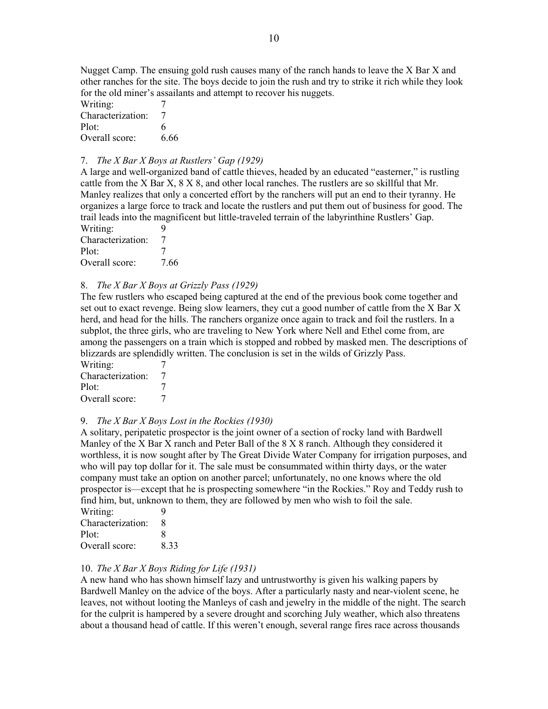Nugget Camp. The ensuing gold rush causes many of the ranch hands to leave the X Bar X and other ranches for the site. The boys decide to join the rush and try to strike it rich while they look for the old miner's assailants and attempt to recover his nuggets.

| Writing:          |      |
|-------------------|------|
| Characterization: | 7    |
| Plot:             | 6    |
| Overall score:    | 6.66 |

#### 7. The X Bar X Boys at Rustlers' Gap (1929)

A large and well-organized band of cattle thieves, headed by an educated "easterner," is rustling cattle from the X Bar X, 8 X 8, and other local ranches. The rustlers are so skillful that Mr. Manley realizes that only a concerted effort by the ranchers will put an end to their tyranny. He organizes a large force to track and locate the rustlers and put them out of business for good. The trail leads into the magnificent but little-traveled terrain of the labyrinthine Rustlers' Gap. Writing: 9

Characterization: 7 Plot: 7 Overall score: 7.66

#### 8. The X Bar X Boys at Grizzly Pass (1929)

The few rustlers who escaped being captured at the end of the previous book come together and set out to exact revenge. Being slow learners, they cut a good number of cattle from the X Bar X herd, and head for the hills. The ranchers organize once again to track and foil the rustlers. In a subplot, the three girls, who are traveling to New York where Nell and Ethel come from, are among the passengers on a train which is stopped and robbed by masked men. The descriptions of blizzards are splendidly written. The conclusion is set in the wilds of Grizzly Pass.

Writing: 7<br>Characterization: 7 Characterization: 7<br>Plot: 7 Plot: Overall score: 7

#### 9. The X Bar X Boys Lost in the Rockies (1930)

A solitary, peripatetic prospector is the joint owner of a section of rocky land with Bardwell Manley of the X Bar X ranch and Peter Ball of the 8 X 8 ranch. Although they considered it worthless, it is now sought after by The Great Divide Water Company for irrigation purposes, and who will pay top dollar for it. The sale must be consummated within thirty days, or the water company must take an option on another parcel; unfortunately, no one knows where the old prospector is—except that he is prospecting somewhere "in the Rockies." Roy and Teddy rush to find him, but, unknown to them, they are followed by men who wish to foil the sale.

| Writing:          | q    |
|-------------------|------|
| Characterization: | 8    |
| Plot:             | 8    |
| Overall score:    | 8.33 |

#### 10. The X Bar X Boys Riding for Life (1931)

A new hand who has shown himself lazy and untrustworthy is given his walking papers by Bardwell Manley on the advice of the boys. After a particularly nasty and near-violent scene, he leaves, not without looting the Manleys of cash and jewelry in the middle of the night. The search for the culprit is hampered by a severe drought and scorching July weather, which also threatens about a thousand head of cattle. If this weren't enough, several range fires race across thousands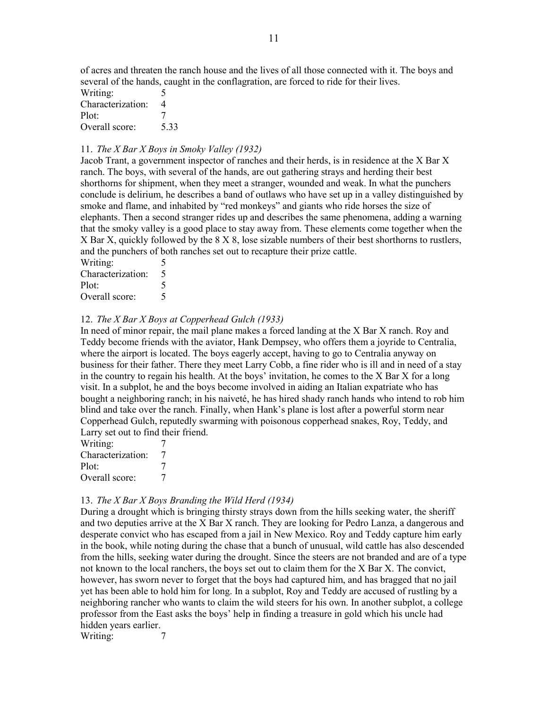of acres and threaten the ranch house and the lives of all those connected with it. The boys and several of the hands, caught in the conflagration, are forced to ride for their lives.

| Writing:          | 5    |
|-------------------|------|
| Characterization: | 4    |
| Plot:             | 7    |
| Overall score:    | 5.33 |

#### 11. The X Bar X Boys in Smoky Valley (1932)

Jacob Trant, a government inspector of ranches and their herds, is in residence at the X Bar X ranch. The boys, with several of the hands, are out gathering strays and herding their best shorthorns for shipment, when they meet a stranger, wounded and weak. In what the punchers conclude is delirium, he describes a band of outlaws who have set up in a valley distinguished by smoke and flame, and inhabited by "red monkeys" and giants who ride horses the size of elephants. Then a second stranger rides up and describes the same phenomena, adding a warning that the smoky valley is a good place to stay away from. These elements come together when the X Bar X, quickly followed by the 8 X 8, lose sizable numbers of their best shorthorns to rustlers, and the punchers of both ranches set out to recapture their prize cattle.

Writing: 5 Characterization: 5 Plot: 5 Overall score: 5

#### 12. The X Bar X Boys at Copperhead Gulch (1933)

In need of minor repair, the mail plane makes a forced landing at the X Bar X ranch. Roy and Teddy become friends with the aviator, Hank Dempsey, who offers them a joyride to Centralia, where the airport is located. The boys eagerly accept, having to go to Centralia anyway on business for their father. There they meet Larry Cobb, a fine rider who is ill and in need of a stay in the country to regain his health. At the boys' invitation, he comes to the X Bar X for a long visit. In a subplot, he and the boys become involved in aiding an Italian expatriate who has bought a neighboring ranch; in his naiveté, he has hired shady ranch hands who intend to rob him blind and take over the ranch. Finally, when Hank's plane is lost after a powerful storm near Copperhead Gulch, reputedly swarming with poisonous copperhead snakes, Roy, Teddy, and Larry set out to find their friend.

| Writing:          |   |
|-------------------|---|
| Characterization: | 7 |
| Plot:             |   |
| Overall score:    | 7 |

#### 13. The X Bar X Boys Branding the Wild Herd (1934)

During a drought which is bringing thirsty strays down from the hills seeking water, the sheriff and two deputies arrive at the X Bar X ranch. They are looking for Pedro Lanza, a dangerous and desperate convict who has escaped from a jail in New Mexico. Roy and Teddy capture him early in the book, while noting during the chase that a bunch of unusual, wild cattle has also descended from the hills, seeking water during the drought. Since the steers are not branded and are of a type not known to the local ranchers, the boys set out to claim them for the X Bar X. The convict, however, has sworn never to forget that the boys had captured him, and has bragged that no jail yet has been able to hold him for long. In a subplot, Roy and Teddy are accused of rustling by a neighboring rancher who wants to claim the wild steers for his own. In another subplot, a college professor from the East asks the boys' help in finding a treasure in gold which his uncle had hidden years earlier. Writing: 7

11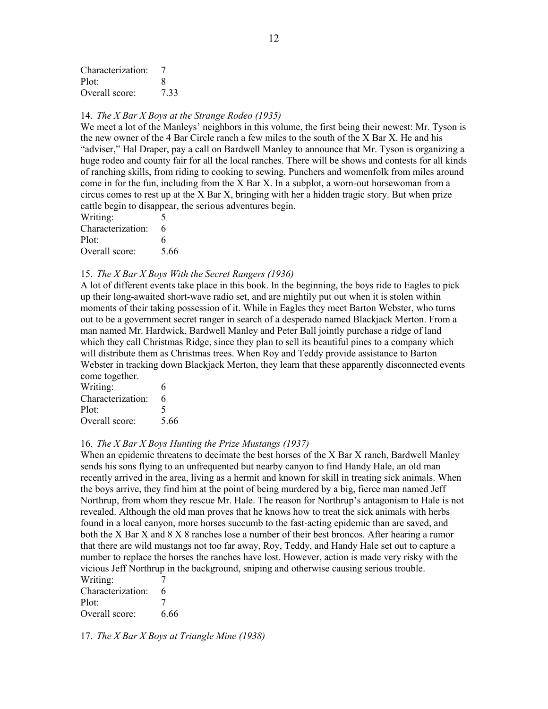| Characterization: |     |
|-------------------|-----|
| Plot:             | х   |
| Overall score:    | 733 |

#### 14. The X Bar X Boys at the Strange Rodeo (1935)

We meet a lot of the Manleys' neighbors in this volume, the first being their newest: Mr. Tyson is the new owner of the 4 Bar Circle ranch a few miles to the south of the X Bar X. He and his "adviser," Hal Draper, pay a call on Bardwell Manley to announce that Mr. Tyson is organizing a huge rodeo and county fair for all the local ranches. There will be shows and contests for all kinds of ranching skills, from riding to cooking to sewing. Punchers and womenfolk from miles around come in for the fun, including from the X Bar X. In a subplot, a worn-out horsewoman from a circus comes to rest up at the X Bar X, bringing with her a hidden tragic story. But when prize cattle begin to disappear, the serious adventures begin.

| Writing:          | 5    |
|-------------------|------|
| Characterization: | 6    |
| Plot:             | 6    |
| Overall score:    | 5.66 |

#### 15. The X Bar X Boys With the Secret Rangers (1936)

A lot of different events take place in this book. In the beginning, the boys ride to Eagles to pick up their long-awaited short-wave radio set, and are mightily put out when it is stolen within moments of their taking possession of it. While in Eagles they meet Barton Webster, who turns out to be a government secret ranger in search of a desperado named Blackjack Merton. From a man named Mr. Hardwick, Bardwell Manley and Peter Ball jointly purchase a ridge of land which they call Christmas Ridge, since they plan to sell its beautiful pines to a company which will distribute them as Christmas trees. When Roy and Teddy provide assistance to Barton Webster in tracking down Blackjack Merton, they learn that these apparently disconnected events come together.

| Writing:          | 6    |
|-------------------|------|
| Characterization: | 6    |
| Plot:             | 5    |
| Overall score:    | 5.66 |

#### 16. The X Bar X Boys Hunting the Prize Mustangs (1937)

When an epidemic threatens to decimate the best horses of the X Bar X ranch, Bardwell Manley sends his sons flying to an unfrequented but nearby canyon to find Handy Hale, an old man recently arrived in the area, living as a hermit and known for skill in treating sick animals. When the boys arrive, they find him at the point of being murdered by a big, fierce man named Jeff Northrup, from whom they rescue Mr. Hale. The reason for Northrup's antagonism to Hale is not revealed. Although the old man proves that he knows how to treat the sick animals with herbs found in a local canyon, more horses succumb to the fast-acting epidemic than are saved, and both the X Bar X and 8 X 8 ranches lose a number of their best broncos. After hearing a rumor that there are wild mustangs not too far away, Roy, Teddy, and Handy Hale set out to capture a number to replace the horses the ranches have lost. However, action is made very risky with the vicious Jeff Northrup in the background, sniping and otherwise causing serious trouble.

| Writing:          |      |
|-------------------|------|
| Characterization: | 6    |
| Plot:             | 7    |
| Overall score:    | 6.66 |

17. The X Bar X Boys at Triangle Mine (1938)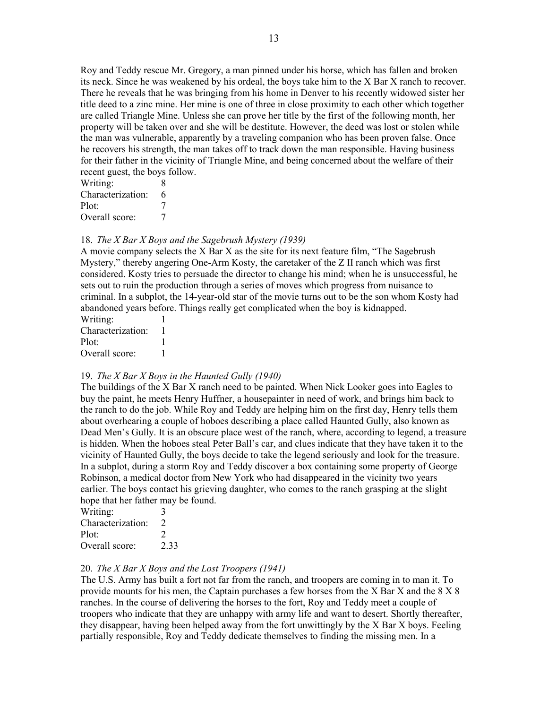Roy and Teddy rescue Mr. Gregory, a man pinned under his horse, which has fallen and broken its neck. Since he was weakened by his ordeal, the boys take him to the X Bar X ranch to recover. There he reveals that he was bringing from his home in Denver to his recently widowed sister her title deed to a zinc mine. Her mine is one of three in close proximity to each other which together are called Triangle Mine. Unless she can prove her title by the first of the following month, her property will be taken over and she will be destitute. However, the deed was lost or stolen while the man was vulnerable, apparently by a traveling companion who has been proven false. Once he recovers his strength, the man takes off to track down the man responsible. Having business for their father in the vicinity of Triangle Mine, and being concerned about the welfare of their recent guest, the boys follow.

| Writing:          | 8 |
|-------------------|---|
| Characterization: | 6 |
| Plot:             | 7 |
| Overall score:    |   |

#### 18. The X Bar X Boys and the Sagebrush Mystery (1939)

A movie company selects the X Bar X as the site for its next feature film, "The Sagebrush Mystery," thereby angering One-Arm Kosty, the caretaker of the Z II ranch which was first considered. Kosty tries to persuade the director to change his mind; when he is unsuccessful, he sets out to ruin the production through a series of moves which progress from nuisance to criminal. In a subplot, the 14-year-old star of the movie turns out to be the son whom Kosty had abandoned years before. Things really get complicated when the boy is kidnapped.  $W$ riting:

| WHIIIIL.          |  |
|-------------------|--|
| Characterization: |  |
| Plot:             |  |
| Overall score:    |  |

#### 19. The X Bar X Boys in the Haunted Gully (1940)

The buildings of the X Bar X ranch need to be painted. When Nick Looker goes into Eagles to buy the paint, he meets Henry Huffner, a housepainter in need of work, and brings him back to the ranch to do the job. While Roy and Teddy are helping him on the first day, Henry tells them about overhearing a couple of hoboes describing a place called Haunted Gully, also known as Dead Men's Gully. It is an obscure place west of the ranch, where, according to legend, a treasure is hidden. When the hoboes steal Peter Ball's car, and clues indicate that they have taken it to the vicinity of Haunted Gully, the boys decide to take the legend seriously and look for the treasure. In a subplot, during a storm Roy and Teddy discover a box containing some property of George Robinson, a medical doctor from New York who had disappeared in the vicinity two years earlier. The boys contact his grieving daughter, who comes to the ranch grasping at the slight hope that her father may be found.

| Writing:          | $\rightarrow$                                                                                                                                                        |
|-------------------|----------------------------------------------------------------------------------------------------------------------------------------------------------------------|
| Characterization: | $\mathcal{L}$                                                                                                                                                        |
| Plot:             | $\mathcal{D}_{\mathcal{A}}^{\mathcal{A}}(\mathcal{A}) = \mathcal{D}_{\mathcal{A}}^{\mathcal{A}}(\mathcal{A}) = \mathcal{D}_{\mathcal{A}}^{\mathcal{A}}(\mathcal{A})$ |
| Overall score:    | 2.33                                                                                                                                                                 |

#### 20. The X Bar X Boys and the Lost Troopers (1941)

The U.S. Army has built a fort not far from the ranch, and troopers are coming in to man it. To provide mounts for his men, the Captain purchases a few horses from the X Bar X and the 8 X 8 ranches. In the course of delivering the horses to the fort, Roy and Teddy meet a couple of troopers who indicate that they are unhappy with army life and want to desert. Shortly thereafter, they disappear, having been helped away from the fort unwittingly by the X Bar X boys. Feeling partially responsible, Roy and Teddy dedicate themselves to finding the missing men. In a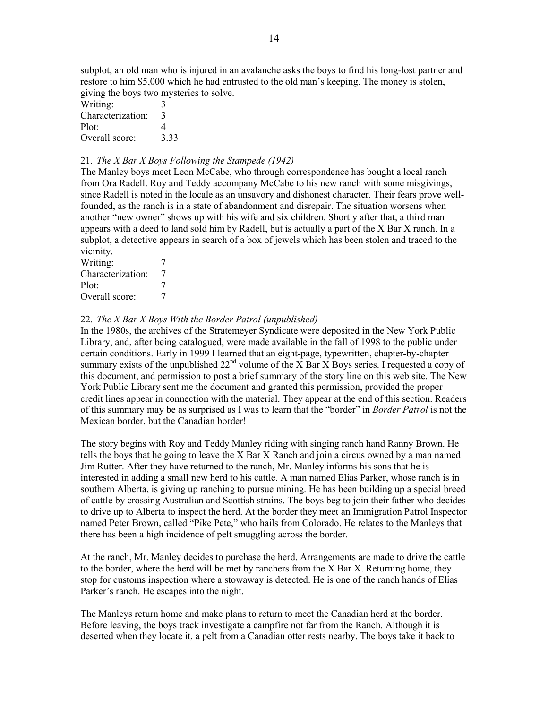subplot, an old man who is injured in an avalanche asks the boys to find his long-lost partner and restore to him \$5,000 which he had entrusted to the old man's keeping. The money is stolen, giving the boys two mysteries to solve.

| Writing:          | 3    |
|-------------------|------|
| Characterization: | 3    |
| Plot:             | 4    |
| Overall score:    | 3.33 |

#### 21. The X Bar X Boys Following the Stampede (1942)

The Manley boys meet Leon McCabe, who through correspondence has bought a local ranch from Ora Radell. Roy and Teddy accompany McCabe to his new ranch with some misgivings, since Radell is noted in the locale as an unsavory and dishonest character. Their fears prove wellfounded, as the ranch is in a state of abandonment and disrepair. The situation worsens when another "new owner" shows up with his wife and six children. Shortly after that, a third man appears with a deed to land sold him by Radell, but is actually a part of the X Bar X ranch. In a subplot, a detective appears in search of a box of jewels which has been stolen and traced to the vicinity.

| 7 |
|---|
| 7 |
| 7 |
|   |

#### 22. The X Bar X Boys With the Border Patrol (unpublished)

In the 1980s, the archives of the Stratemeyer Syndicate were deposited in the New York Public Library, and, after being catalogued, were made available in the fall of 1998 to the public under certain conditions. Early in 1999 I learned that an eight-page, typewritten, chapter-by-chapter summary exists of the unpublished  $22<sup>nd</sup>$  volume of the X Bar X Boys series. I requested a copy of this document, and permission to post a brief summary of the story line on this web site. The New York Public Library sent me the document and granted this permission, provided the proper credit lines appear in connection with the material. They appear at the end of this section. Readers of this summary may be as surprised as I was to learn that the "border" in Border Patrol is not the Mexican border, but the Canadian border!

The story begins with Roy and Teddy Manley riding with singing ranch hand Ranny Brown. He tells the boys that he going to leave the X Bar X Ranch and join a circus owned by a man named Jim Rutter. After they have returned to the ranch, Mr. Manley informs his sons that he is interested in adding a small new herd to his cattle. A man named Elias Parker, whose ranch is in southern Alberta, is giving up ranching to pursue mining. He has been building up a special breed of cattle by crossing Australian and Scottish strains. The boys beg to join their father who decides to drive up to Alberta to inspect the herd. At the border they meet an Immigration Patrol Inspector named Peter Brown, called "Pike Pete," who hails from Colorado. He relates to the Manleys that there has been a high incidence of pelt smuggling across the border.

At the ranch, Mr. Manley decides to purchase the herd. Arrangements are made to drive the cattle to the border, where the herd will be met by ranchers from the X Bar X. Returning home, they stop for customs inspection where a stowaway is detected. He is one of the ranch hands of Elias Parker's ranch. He escapes into the night.

The Manleys return home and make plans to return to meet the Canadian herd at the border. Before leaving, the boys track investigate a campfire not far from the Ranch. Although it is deserted when they locate it, a pelt from a Canadian otter rests nearby. The boys take it back to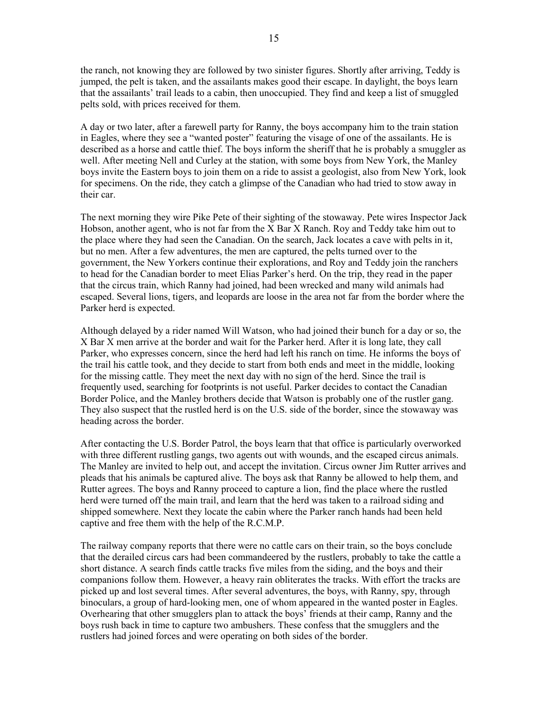the ranch, not knowing they are followed by two sinister figures. Shortly after arriving, Teddy is jumped, the pelt is taken, and the assailants makes good their escape. In daylight, the boys learn that the assailants' trail leads to a cabin, then unoccupied. They find and keep a list of smuggled pelts sold, with prices received for them.

A day or two later, after a farewell party for Ranny, the boys accompany him to the train station in Eagles, where they see a "wanted poster" featuring the visage of one of the assailants. He is described as a horse and cattle thief. The boys inform the sheriff that he is probably a smuggler as well. After meeting Nell and Curley at the station, with some boys from New York, the Manley boys invite the Eastern boys to join them on a ride to assist a geologist, also from New York, look for specimens. On the ride, they catch a glimpse of the Canadian who had tried to stow away in their car.

The next morning they wire Pike Pete of their sighting of the stowaway. Pete wires Inspector Jack Hobson, another agent, who is not far from the X Bar X Ranch. Roy and Teddy take him out to the place where they had seen the Canadian. On the search, Jack locates a cave with pelts in it, but no men. After a few adventures, the men are captured, the pelts turned over to the government, the New Yorkers continue their explorations, and Roy and Teddy join the ranchers to head for the Canadian border to meet Elias Parker's herd. On the trip, they read in the paper that the circus train, which Ranny had joined, had been wrecked and many wild animals had escaped. Several lions, tigers, and leopards are loose in the area not far from the border where the Parker herd is expected.

Although delayed by a rider named Will Watson, who had joined their bunch for a day or so, the X Bar X men arrive at the border and wait for the Parker herd. After it is long late, they call Parker, who expresses concern, since the herd had left his ranch on time. He informs the boys of the trail his cattle took, and they decide to start from both ends and meet in the middle, looking for the missing cattle. They meet the next day with no sign of the herd. Since the trail is frequently used, searching for footprints is not useful. Parker decides to contact the Canadian Border Police, and the Manley brothers decide that Watson is probably one of the rustler gang. They also suspect that the rustled herd is on the U.S. side of the border, since the stowaway was heading across the border.

After contacting the U.S. Border Patrol, the boys learn that that office is particularly overworked with three different rustling gangs, two agents out with wounds, and the escaped circus animals. The Manley are invited to help out, and accept the invitation. Circus owner Jim Rutter arrives and pleads that his animals be captured alive. The boys ask that Ranny be allowed to help them, and Rutter agrees. The boys and Ranny proceed to capture a lion, find the place where the rustled herd were turned off the main trail, and learn that the herd was taken to a railroad siding and shipped somewhere. Next they locate the cabin where the Parker ranch hands had been held captive and free them with the help of the R.C.M.P.

The railway company reports that there were no cattle cars on their train, so the boys conclude that the derailed circus cars had been commandeered by the rustlers, probably to take the cattle a short distance. A search finds cattle tracks five miles from the siding, and the boys and their companions follow them. However, a heavy rain obliterates the tracks. With effort the tracks are picked up and lost several times. After several adventures, the boys, with Ranny, spy, through binoculars, a group of hard-looking men, one of whom appeared in the wanted poster in Eagles. Overhearing that other smugglers plan to attack the boys' friends at their camp, Ranny and the boys rush back in time to capture two ambushers. These confess that the smugglers and the rustlers had joined forces and were operating on both sides of the border.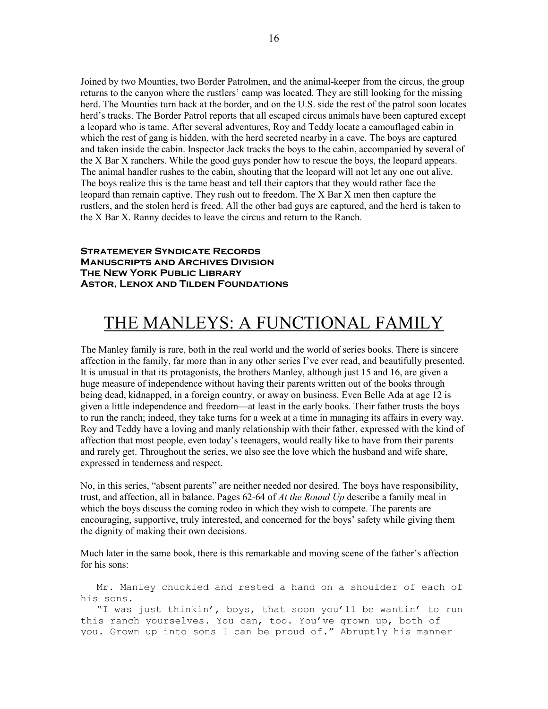Joined by two Mounties, two Border Patrolmen, and the animal-keeper from the circus, the group returns to the canyon where the rustlers' camp was located. They are still looking for the missing herd. The Mounties turn back at the border, and on the U.S. side the rest of the patrol soon locates herd's tracks. The Border Patrol reports that all escaped circus animals have been captured except a leopard who is tame. After several adventures, Roy and Teddy locate a camouflaged cabin in which the rest of gang is hidden, with the herd secreted nearby in a cave. The boys are captured and taken inside the cabin. Inspector Jack tracks the boys to the cabin, accompanied by several of the X Bar X ranchers. While the good guys ponder how to rescue the boys, the leopard appears. The animal handler rushes to the cabin, shouting that the leopard will not let any one out alive. The boys realize this is the tame beast and tell their captors that they would rather face the leopard than remain captive. They rush out to freedom. The X Bar X men then capture the rustlers, and the stolen herd is freed. All the other bad guys are captured, and the herd is taken to the X Bar X. Ranny decides to leave the circus and return to the Ranch.

#### **Stratemeyer Syndicate Records Manuscripts and Archives Division The New York Public Library Astor, Lenox and Tilden Foundations**

# THE MANLEYS: A FUNCTIONAL FAMILY

The Manley family is rare, both in the real world and the world of series books. There is sincere affection in the family, far more than in any other series I've ever read, and beautifully presented. It is unusual in that its protagonists, the brothers Manley, although just 15 and 16, are given a huge measure of independence without having their parents written out of the books through being dead, kidnapped, in a foreign country, or away on business. Even Belle Ada at age 12 is given a little independence and freedom—at least in the early books. Their father trusts the boys to run the ranch; indeed, they take turns for a week at a time in managing its affairs in every way. Roy and Teddy have a loving and manly relationship with their father, expressed with the kind of affection that most people, even today's teenagers, would really like to have from their parents and rarely get. Throughout the series, we also see the love which the husband and wife share, expressed in tenderness and respect.

No, in this series, "absent parents" are neither needed nor desired. The boys have responsibility, trust, and affection, all in balance. Pages 62-64 of At the Round Up describe a family meal in which the boys discuss the coming rodeo in which they wish to compete. The parents are encouraging, supportive, truly interested, and concerned for the boys' safety while giving them the dignity of making their own decisions.

Much later in the same book, there is this remarkable and moving scene of the father's affection for his sons:

 Mr. Manley chuckled and rested a hand on a shoulder of each of his sons. "I was just thinkin', boys, that soon you'll be wantin' to run this ranch yourselves. You can, too. You've grown up, both of you. Grown up into sons I can be proud of." Abruptly his manner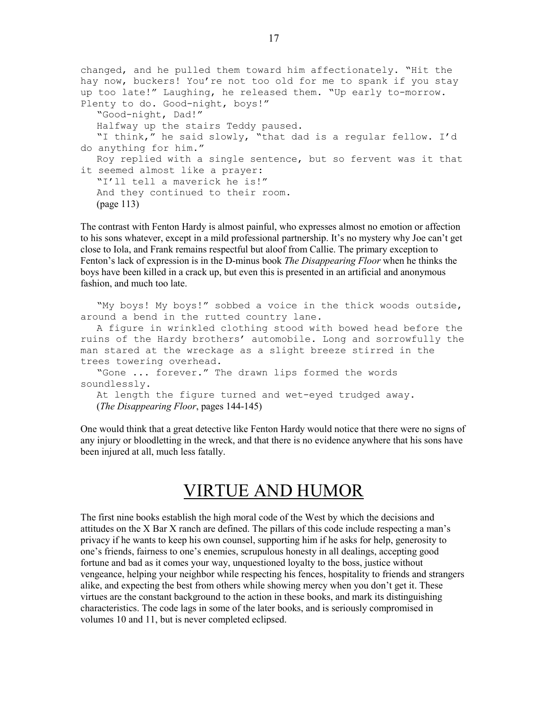```
changed, and he pulled them toward him affectionately. "Hit the 
hay now, buckers! You're not too old for me to spank if you stay 
up too late!" Laughing, he released them. "Up early to-morrow. 
Plenty to do. Good-night, boys!" 
   "Good-night, Dad!" 
   Halfway up the stairs Teddy paused. 
    "I think," he said slowly, "that dad is a regular fellow. I'd 
do anything for him." 
   Roy replied with a single sentence, but so fervent was it that 
it seemed almost like a prayer: 
    "I'll tell a maverick he is!" 
   And they continued to their room.
   (page 113)
```
The contrast with Fenton Hardy is almost painful, who expresses almost no emotion or affection to his sons whatever, except in a mild professional partnership. It's no mystery why Joe can't get close to Iola, and Frank remains respectful but aloof from Callie. The primary exception to Fenton's lack of expression is in the D-minus book *The Disappearing Floor* when he thinks the boys have been killed in a crack up, but even this is presented in an artificial and anonymous fashion, and much too late.

 "My boys! My boys!" sobbed a voice in the thick woods outside, around a bend in the rutted country lane.

 A figure in wrinkled clothing stood with bowed head before the ruins of the Hardy brothers' automobile. Long and sorrowfully the man stared at the wreckage as a slight breeze stirred in the trees towering overhead.

```
 "Gone ... forever." The drawn lips formed the words 
soundlessly.
```
 At length the figure turned and wet-eyed trudged away. (The Disappearing Floor, pages 144-145)

One would think that a great detective like Fenton Hardy would notice that there were no signs of any injury or bloodletting in the wreck, and that there is no evidence anywhere that his sons have been injured at all, much less fatally.

### VIRTUE AND HUMOR

The first nine books establish the high moral code of the West by which the decisions and attitudes on the X Bar X ranch are defined. The pillars of this code include respecting a man's privacy if he wants to keep his own counsel, supporting him if he asks for help, generosity to one's friends, fairness to one's enemies, scrupulous honesty in all dealings, accepting good fortune and bad as it comes your way, unquestioned loyalty to the boss, justice without vengeance, helping your neighbor while respecting his fences, hospitality to friends and strangers alike, and expecting the best from others while showing mercy when you don't get it. These virtues are the constant background to the action in these books, and mark its distinguishing characteristics. The code lags in some of the later books, and is seriously compromised in volumes 10 and 11, but is never completed eclipsed.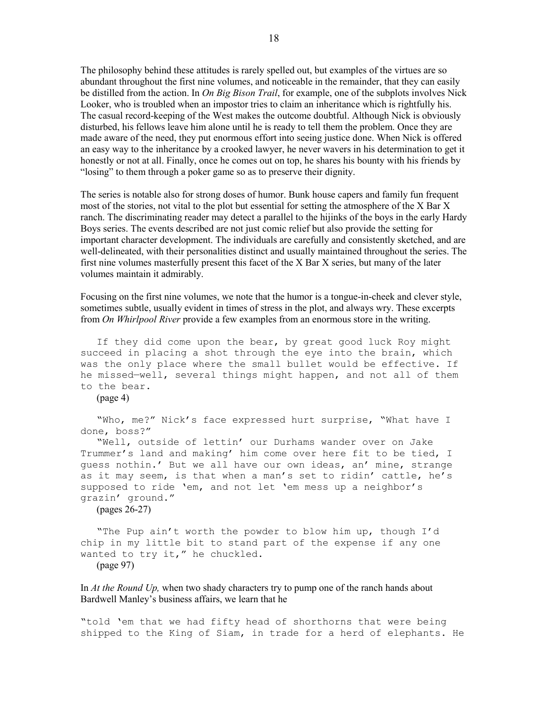The philosophy behind these attitudes is rarely spelled out, but examples of the virtues are so abundant throughout the first nine volumes, and noticeable in the remainder, that they can easily be distilled from the action. In *On Big Bison Trail*, for example, one of the subplots involves Nick Looker, who is troubled when an impostor tries to claim an inheritance which is rightfully his. The casual record-keeping of the West makes the outcome doubtful. Although Nick is obviously disturbed, his fellows leave him alone until he is ready to tell them the problem. Once they are made aware of the need, they put enormous effort into seeing justice done. When Nick is offered an easy way to the inheritance by a crooked lawyer, he never wavers in his determination to get it honestly or not at all. Finally, once he comes out on top, he shares his bounty with his friends by "losing" to them through a poker game so as to preserve their dignity.

The series is notable also for strong doses of humor. Bunk house capers and family fun frequent most of the stories, not vital to the plot but essential for setting the atmosphere of the X Bar X ranch. The discriminating reader may detect a parallel to the hijinks of the boys in the early Hardy Boys series. The events described are not just comic relief but also provide the setting for important character development. The individuals are carefully and consistently sketched, and are well-delineated, with their personalities distinct and usually maintained throughout the series. The first nine volumes masterfully present this facet of the X Bar X series, but many of the later volumes maintain it admirably.

Focusing on the first nine volumes, we note that the humor is a tongue-in-cheek and clever style, sometimes subtle, usually evident in times of stress in the plot, and always wry. These excerpts from *On Whirlpool River* provide a few examples from an enormous store in the writing.

 If they did come upon the bear, by great good luck Roy might succeed in placing a shot through the eye into the brain, which was the only place where the small bullet would be effective. If he missed—well, several things might happen, and not all of them to the bear.

(page 4)

 "Who, me?" Nick's face expressed hurt surprise, "What have I done, boss?"

 "Well, outside of lettin' our Durhams wander over on Jake Trummer's land and making' him come over here fit to be tied, I guess nothin.' But we all have our own ideas, an' mine, strange as it may seem, is that when a man's set to ridin' cattle, he's supposed to ride 'em, and not let 'em mess up a neighbor's grazin' ground."

(pages 26-27)

 "The Pup ain't worth the powder to blow him up, though I'd chip in my little bit to stand part of the expense if any one wanted to try it," he chuckled. (page 97)

In *At the Round Up*, when two shady characters try to pump one of the ranch hands about Bardwell Manley's business affairs, we learn that he

"told 'em that we had fifty head of shorthorns that were being shipped to the King of Siam, in trade for a herd of elephants. He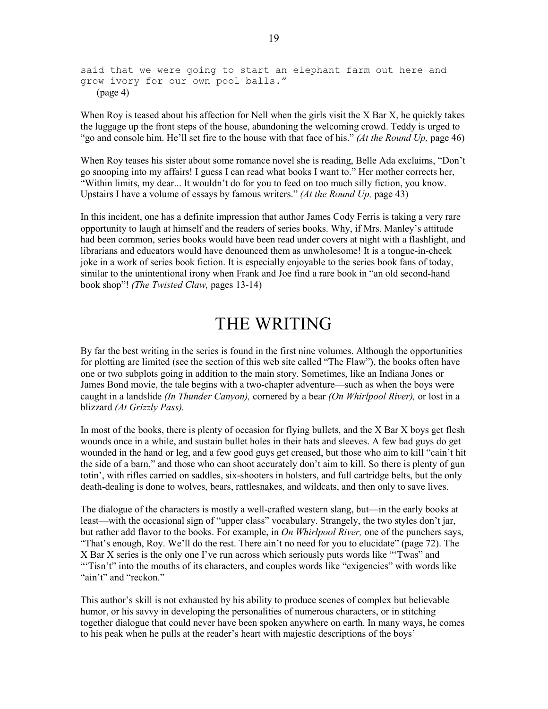said that we were going to start an elephant farm out here and grow ivory for our own pool balls." (page 4)

When Roy is teased about his affection for Nell when the girls visit the X Bar X, he quickly takes the luggage up the front steps of the house, abandoning the welcoming crowd. Teddy is urged to "go and console him. He'll set fire to the house with that face of his." (At the Round Up, page 46)

When Roy teases his sister about some romance novel she is reading, Belle Ada exclaims, "Don't go snooping into my affairs! I guess I can read what books I want to." Her mother corrects her, "Within limits, my dear... It wouldn't do for you to feed on too much silly fiction, you know. Upstairs I have a volume of essays by famous writers." (At the Round Up, page 43)

In this incident, one has a definite impression that author James Cody Ferris is taking a very rare opportunity to laugh at himself and the readers of series books. Why, if Mrs. Manley's attitude had been common, series books would have been read under covers at night with a flashlight, and librarians and educators would have denounced them as unwholesome! It is a tongue-in-cheek joke in a work of series book fiction. It is especially enjoyable to the series book fans of today, similar to the unintentional irony when Frank and Joe find a rare book in "an old second-hand book shop"! (The Twisted Claw, pages 13-14)

### THE WRITING

By far the best writing in the series is found in the first nine volumes. Although the opportunities for plotting are limited (see the section of this web site called "The Flaw"), the books often have one or two subplots going in addition to the main story. Sometimes, like an Indiana Jones or James Bond movie, the tale begins with a two-chapter adventure—such as when the boys were caught in a landslide *(In Thunder Canyon)*, cornered by a bear *(On Whirlpool River)*, or lost in a blizzard (At Grizzly Pass).

In most of the books, there is plenty of occasion for flying bullets, and the X Bar X boys get flesh wounds once in a while, and sustain bullet holes in their hats and sleeves. A few bad guys do get wounded in the hand or leg, and a few good guys get creased, but those who aim to kill "cain't hit the side of a barn," and those who can shoot accurately don't aim to kill. So there is plenty of gun totin', with rifles carried on saddles, six-shooters in holsters, and full cartridge belts, but the only death-dealing is done to wolves, bears, rattlesnakes, and wildcats, and then only to save lives.

The dialogue of the characters is mostly a well-crafted western slang, but—in the early books at least—with the occasional sign of "upper class" vocabulary. Strangely, the two styles don't jar, but rather add flavor to the books. For example, in *On Whirlpool River*, one of the punchers says, "That's enough, Roy. We'll do the rest. There ain't no need for you to elucidate" (page 72). The X Bar X series is the only one I've run across which seriously puts words like "'Twas" and "Tisn't" into the mouths of its characters, and couples words like "exigencies" with words like "ain't" and "reckon."

This author's skill is not exhausted by his ability to produce scenes of complex but believable humor, or his savvy in developing the personalities of numerous characters, or in stitching together dialogue that could never have been spoken anywhere on earth. In many ways, he comes to his peak when he pulls at the reader's heart with majestic descriptions of the boys'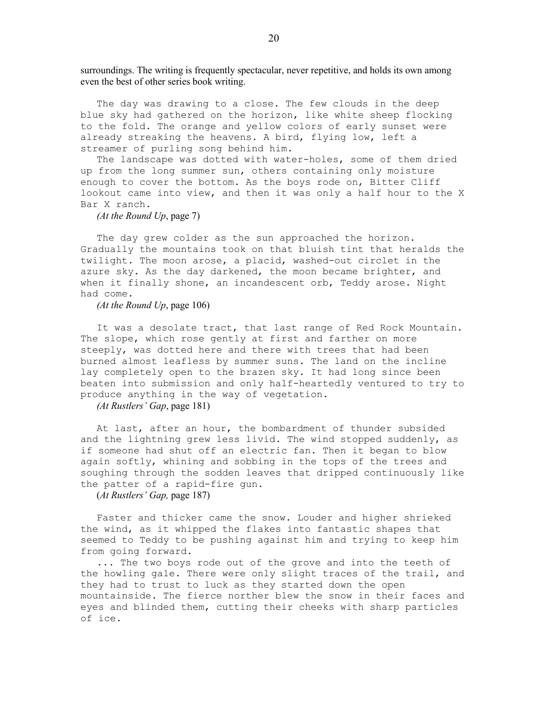surroundings. The writing is frequently spectacular, never repetitive, and holds its own among even the best of other series book writing.

 The day was drawing to a close. The few clouds in the deep blue sky had gathered on the horizon, like white sheep flocking to the fold. The orange and yellow colors of early sunset were already streaking the heavens. A bird, flying low, left a streamer of purling song behind him.

 The landscape was dotted with water-holes, some of them dried up from the long summer sun, others containing only moisture enough to cover the bottom. As the boys rode on, Bitter Cliff lookout came into view, and then it was only a half hour to the X Bar X ranch.

(At the Round Up, page 7)

The day grew colder as the sun approached the horizon. Gradually the mountains took on that bluish tint that heralds the twilight. The moon arose, a placid, washed-out circlet in the azure sky. As the day darkened, the moon became brighter, and when it finally shone, an incandescent orb, Teddy arose. Night had come.

(At the Round Up, page 106)

 It was a desolate tract, that last range of Red Rock Mountain. The slope, which rose gently at first and farther on more steeply, was dotted here and there with trees that had been burned almost leafless by summer suns. The land on the incline lay completely open to the brazen sky. It had long since been beaten into submission and only half-heartedly ventured to try to produce anything in the way of vegetation.

(At Rustlers' Gap, page 181)

 At last, after an hour, the bombardment of thunder subsided and the lightning grew less livid. The wind stopped suddenly, as if someone had shut off an electric fan. Then it began to blow again softly, whining and sobbing in the tops of the trees and soughing through the sodden leaves that dripped continuously like the patter of a rapid-fire gun.

(At Rustlers' Gap, page 187)

 Faster and thicker came the snow. Louder and higher shrieked the wind, as it whipped the flakes into fantastic shapes that seemed to Teddy to be pushing against him and trying to keep him from going forward.

 ... The two boys rode out of the grove and into the teeth of the howling gale. There were only slight traces of the trail, and they had to trust to luck as they started down the open mountainside. The fierce norther blew the snow in their faces and eyes and blinded them, cutting their cheeks with sharp particles of ice.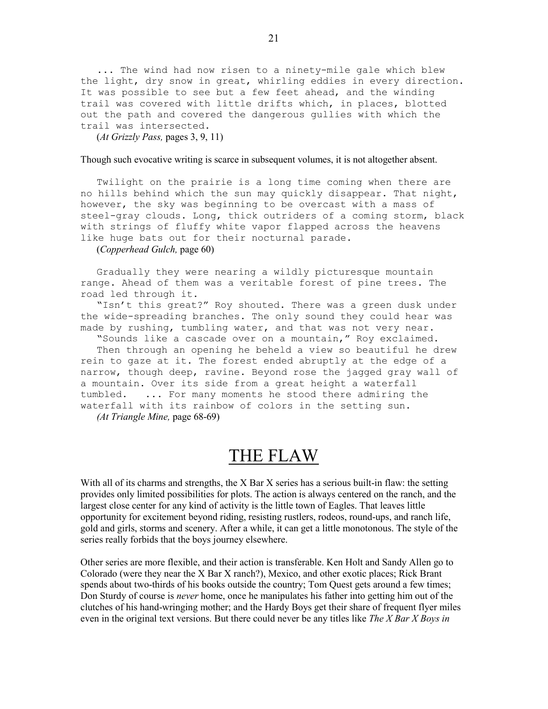... The wind had now risen to a ninety-mile gale which blew the light, dry snow in great, whirling eddies in every direction. It was possible to see but a few feet ahead, and the winding trail was covered with little drifts which, in places, blotted out the path and covered the dangerous gullies with which the trail was intersected.

 $(At$  Grizzly Pass, pages 3, 9, 11)

#### Though such evocative writing is scarce in subsequent volumes, it is not altogether absent.

 Twilight on the prairie is a long time coming when there are no hills behind which the sun may quickly disappear. That night, however, the sky was beginning to be overcast with a mass of steel-gray clouds. Long, thick outriders of a coming storm, black with strings of fluffy white vapor flapped across the heavens like huge bats out for their nocturnal parade.

(Copperhead Gulch, page 60)

 Gradually they were nearing a wildly picturesque mountain range. Ahead of them was a veritable forest of pine trees. The road led through it.

 "Isn't this great?" Roy shouted. There was a green dusk under the wide-spreading branches. The only sound they could hear was made by rushing, tumbling water, and that was not very near.

 "Sounds like a cascade over on a mountain," Roy exclaimed. Then through an opening he beheld a view so beautiful he drew rein to gaze at it. The forest ended abruptly at the edge of a narrow, though deep, ravine. Beyond rose the jagged gray wall of a mountain. Over its side from a great height a waterfall tumbled. ... For many moments he stood there admiring the waterfall with its rainbow of colors in the setting sun. (At Triangle Mine, page 68-69)

### THE FLAW

With all of its charms and strengths, the X Bar X series has a serious built-in flaw: the setting provides only limited possibilities for plots. The action is always centered on the ranch, and the largest close center for any kind of activity is the little town of Eagles. That leaves little opportunity for excitement beyond riding, resisting rustlers, rodeos, round-ups, and ranch life, gold and girls, storms and scenery. After a while, it can get a little monotonous. The style of the series really forbids that the boys journey elsewhere.

Other series are more flexible, and their action is transferable. Ken Holt and Sandy Allen go to Colorado (were they near the X Bar X ranch?), Mexico, and other exotic places; Rick Brant spends about two-thirds of his books outside the country; Tom Quest gets around a few times; Don Sturdy of course is *never* home, once he manipulates his father into getting him out of the clutches of his hand-wringing mother; and the Hardy Boys get their share of frequent flyer miles even in the original text versions. But there could never be any titles like The X Bar X Boys in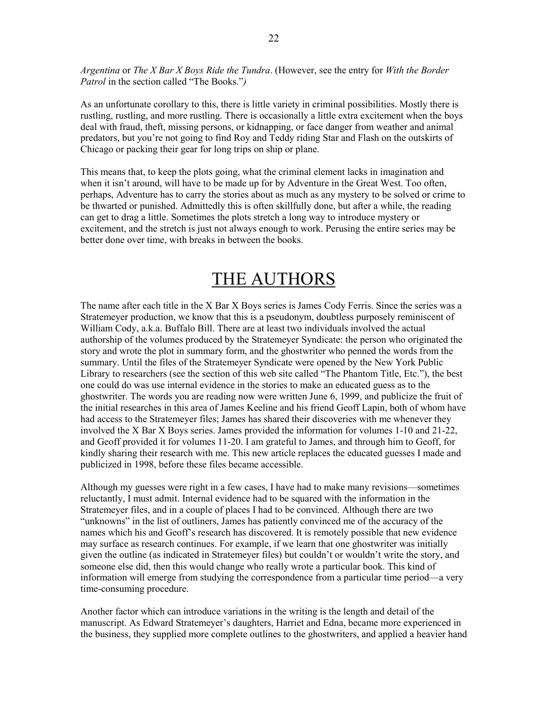Argentina or The X Bar X Boys Ride the Tundra. (However, see the entry for With the Border Patrol in the section called "The Books.")

As an unfortunate corollary to this, there is little variety in criminal possibilities. Mostly there is rustling, rustling, and more rustling. There is occasionally a little extra excitement when the boys deal with fraud, theft, missing persons, or kidnapping, or face danger from weather and animal predators, but you're not going to find Roy and Teddy riding Star and Flash on the outskirts of Chicago or packing their gear for long trips on ship or plane.

This means that, to keep the plots going, what the criminal element lacks in imagination and when it isn't around, will have to be made up for by Adventure in the Great West. Too often, perhaps, Adventure has to carry the stories about as much as any mystery to be solved or crime to be thwarted or punished. Admittedly this is often skillfully done, but after a while, the reading can get to drag a little. Sometimes the plots stretch a long way to introduce mystery or excitement, and the stretch is just not always enough to work. Perusing the entire series may be better done over time, with breaks in between the books.

# THE AUTHORS

The name after each title in the X Bar X Boys series is James Cody Ferris. Since the series was a Stratemeyer production, we know that this is a pseudonym, doubtless purposely reminiscent of William Cody, a.k.a. Buffalo Bill. There are at least two individuals involved the actual authorship of the volumes produced by the Stratemeyer Syndicate: the person who originated the story and wrote the plot in summary form, and the ghostwriter who penned the words from the summary. Until the files of the Stratemeyer Syndicate were opened by the New York Public Library to researchers (see the section of this web site called "The Phantom Title, Etc."), the best one could do was use internal evidence in the stories to make an educated guess as to the ghostwriter. The words you are reading now were written June 6, 1999, and publicize the fruit of the initial researches in this area of James Keeline and his friend Geoff Lapin, both of whom have had access to the Stratemeyer files; James has shared their discoveries with me whenever they involved the X Bar X Boys series. James provided the information for volumes 1-10 and 21-22, and Geoff provided it for volumes 11-20. I am grateful to James, and through him to Geoff, for kindly sharing their research with me. This new article replaces the educated guesses I made and publicized in 1998, before these files became accessible.

Although my guesses were right in a few cases, I have had to make many revisions—sometimes reluctantly, I must admit. Internal evidence had to be squared with the information in the Stratemeyer files, and in a couple of places I had to be convinced. Although there are two "unknowns" in the list of outliners, James has patiently convinced me of the accuracy of the names which his and Geoff's research has discovered. It is remotely possible that new evidence may surface as research continues. For example, if we learn that one ghostwriter was initially given the outline (as indicated in Stratemeyer files) but couldn't or wouldn't write the story, and someone else did, then this would change who really wrote a particular book. This kind of information will emerge from studying the correspondence from a particular time period—a very time-consuming procedure.

Another factor which can introduce variations in the writing is the length and detail of the manuscript. As Edward Stratemeyer's daughters, Harriet and Edna, became more experienced in the business, they supplied more complete outlines to the ghostwriters, and applied a heavier hand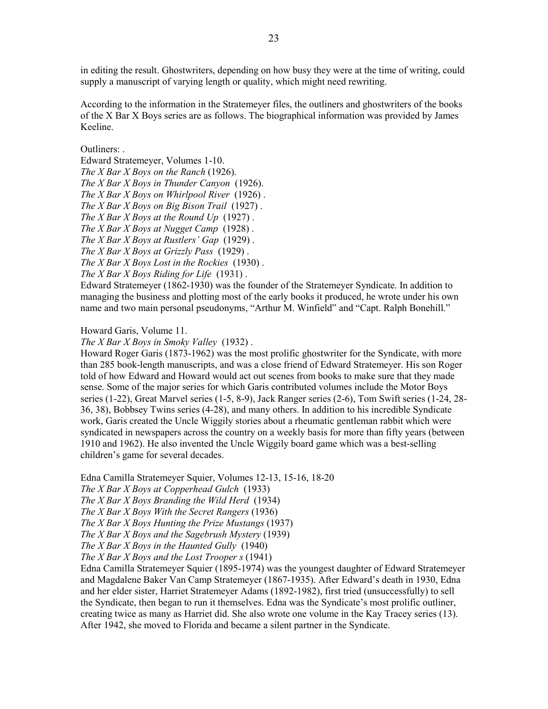in editing the result. Ghostwriters, depending on how busy they were at the time of writing, could supply a manuscript of varying length or quality, which might need rewriting.

According to the information in the Stratemeyer files, the outliners and ghostwriters of the books of the X Bar X Boys series are as follows. The biographical information was provided by James Keeline.

#### Outliners:

Edward Stratemeyer, Volumes 1-10. The X Bar X Boys on the Ranch (1926). The X Bar X Boys in Thunder Canyon (1926). The X Bar X Boys on Whirlpool River  $(1926)$ . The X Bar X Boys on Big Bison Trail  $(1927)$ . The X Bar X Boys at the Round Up  $(1927)$ . The X Bar X Boys at Nugget Camp  $(1928)$ . The  $X$  Bar  $X$  Boys at Rustlers' Gap (1929). The X Bar X Boys at Grizzly Pass  $(1929)$ . The  $X$  Bar  $X$  Boys Lost in the Rockies (1930). The X Bar X Boys Riding for Life  $(1931)$ .

Edward Stratemeyer (1862-1930) was the founder of the Stratemeyer Syndicate. In addition to managing the business and plotting most of the early books it produced, he wrote under his own name and two main personal pseudonyms, "Arthur M. Winfield" and "Capt. Ralph Bonehill."

Howard Garis, Volume 11.

The X Bar X Boys in Smoky Valley  $(1932)$ .

Howard Roger Garis (1873-1962) was the most prolific ghostwriter for the Syndicate, with more than 285 book-length manuscripts, and was a close friend of Edward Stratemeyer. His son Roger told of how Edward and Howard would act out scenes from books to make sure that they made sense. Some of the major series for which Garis contributed volumes include the Motor Boys series (1-22), Great Marvel series (1-5, 8-9), Jack Ranger series (2-6), Tom Swift series (1-24, 28- 36, 38), Bobbsey Twins series (4-28), and many others. In addition to his incredible Syndicate work, Garis created the Uncle Wiggily stories about a rheumatic gentleman rabbit which were syndicated in newspapers across the country on a weekly basis for more than fifty years (between 1910 and 1962). He also invented the Uncle Wiggily board game which was a best-selling children's game for several decades.

Edna Camilla Stratemeyer Squier, Volumes 12-13, 15-16, 18-20

The X Bar X Boys at Copperhead Gulch (1933)

The X Bar X Boys Branding the Wild Herd (1934)

The X Bar X Boys With the Secret Rangers (1936)

The  $X$  Bar  $X$  Boys Hunting the Prize Mustangs (1937)

The X Bar X Boys and the Sagebrush Mystery (1939)

The  $X$  Bar  $X$  Boys in the Haunted Gully (1940)

The  $X$  Bar  $X$  Boys and the Lost Trooper  $s(1941)$ 

Edna Camilla Stratemeyer Squier (1895-1974) was the youngest daughter of Edward Stratemeyer and Magdalene Baker Van Camp Stratemeyer (1867-1935). After Edward's death in 1930, Edna and her elder sister, Harriet Stratemeyer Adams (1892-1982), first tried (unsuccessfully) to sell the Syndicate, then began to run it themselves. Edna was the Syndicate's most prolific outliner, creating twice as many as Harriet did. She also wrote one volume in the Kay Tracey series (13). After 1942, she moved to Florida and became a silent partner in the Syndicate.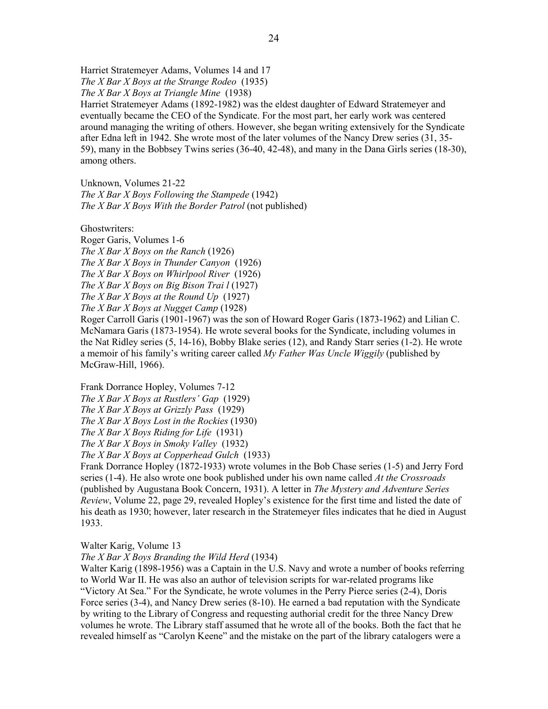Harriet Stratemeyer Adams, Volumes 14 and 17 The X Bar X Boys at the Strange Rodeo  $(1935)$ The  $X$  Bar  $X$  Boys at Triangle Mine  $(1938)$ Harriet Stratemeyer Adams (1892-1982) was the eldest daughter of Edward Stratemeyer and eventually became the CEO of the Syndicate. For the most part, her early work was centered around managing the writing of others. However, she began writing extensively for the Syndicate after Edna left in 1942. She wrote most of the later volumes of the Nancy Drew series (31, 35- 59), many in the Bobbsey Twins series (36-40, 42-48), and many in the Dana Girls series (18-30), among others.

Unknown, Volumes 21-22 The X Bar X Boys Following the Stampede  $(1942)$ The X Bar X Boys With the Border Patrol (not published)

Ghostwriters:

Roger Garis, Volumes 1-6 The  $X$  Bar  $X$  Boys on the Ranch (1926) The X Bar X Boys in Thunder Canyon  $(1926)$ The X Bar X Boys on Whirlpool River (1926) The X Bar X Boys on Big Bison Trai  $l$  (1927) The X Bar X Boys at the Round Up  $(1927)$ The X Bar X Boys at Nugget Camp (1928) Roger Carroll Garis (1901-1967) was the son of Howard Roger Garis (1873-1962) and Lilian C.

McNamara Garis (1873-1954). He wrote several books for the Syndicate, including volumes in the Nat Ridley series (5, 14-16), Bobby Blake series (12), and Randy Starr series (1-2). He wrote a memoir of his family's writing career called  $My$  Father Was Uncle Wiggily (published by McGraw-Hill, 1966).

Frank Dorrance Hopley, Volumes 7-12 The X Bar X Boys at Rustlers' Gap  $(1929)$ The X Bar X Boys at Grizzly Pass  $(1929)$ The  $X$  Bar  $X$  Boys Lost in the Rockies (1930) The X Bar X Boys Riding for Life  $(1931)$ The  $X$  Bar  $X$  Boys in Smoky Valley (1932) The X Bar X Boys at Copperhead Gulch (1933)

Frank Dorrance Hopley (1872-1933) wrote volumes in the Bob Chase series (1-5) and Jerry Ford series (1-4). He also wrote one book published under his own name called At the Crossroads (published by Augustana Book Concern, 1931). A letter in The Mystery and Adventure Series Review, Volume 22, page 29, revealed Hopley's existence for the first time and listed the date of his death as 1930; however, later research in the Stratemeyer files indicates that he died in August 1933.

Walter Karig, Volume 13

The X Bar X Boys Branding the Wild Herd (1934)

Walter Karig (1898-1956) was a Captain in the U.S. Navy and wrote a number of books referring to World War II. He was also an author of television scripts for war-related programs like "Victory At Sea." For the Syndicate, he wrote volumes in the Perry Pierce series (2-4), Doris Force series (3-4), and Nancy Drew series (8-10). He earned a bad reputation with the Syndicate by writing to the Library of Congress and requesting authorial credit for the three Nancy Drew volumes he wrote. The Library staff assumed that he wrote all of the books. Both the fact that he revealed himself as "Carolyn Keene" and the mistake on the part of the library catalogers were a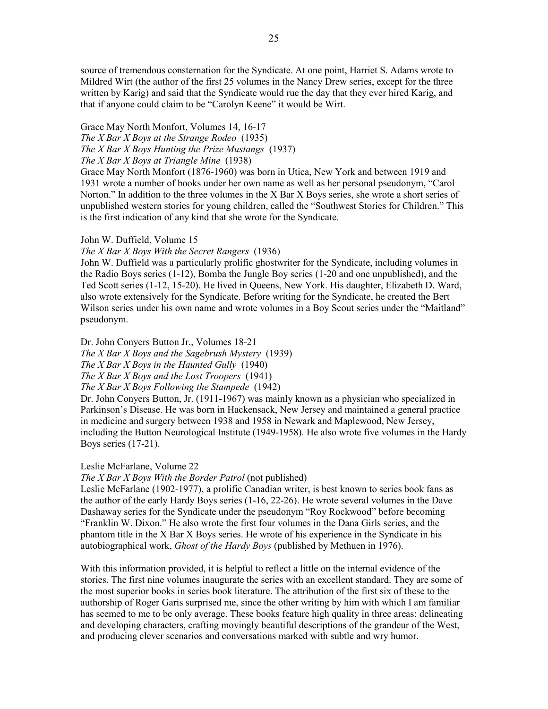source of tremendous consternation for the Syndicate. At one point, Harriet S. Adams wrote to Mildred Wirt (the author of the first 25 volumes in the Nancy Drew series, except for the three written by Karig) and said that the Syndicate would rue the day that they ever hired Karig, and that if anyone could claim to be "Carolyn Keene" it would be Wirt.

Grace May North Monfort, Volumes 14, 16-17 The X Bar X Boys at the Strange Rodeo (1935) The X Bar X Boys Hunting the Prize Mustangs (1937) The  $X$  Bar  $X$  Boys at Triangle Mine (1938)

Grace May North Monfort (1876-1960) was born in Utica, New York and between 1919 and 1931 wrote a number of books under her own name as well as her personal pseudonym, "Carol Norton." In addition to the three volumes in the X Bar X Boys series, she wrote a short series of unpublished western stories for young children, called the "Southwest Stories for Children." This is the first indication of any kind that she wrote for the Syndicate.

#### John W. Duffield, Volume 15

#### The X Bar X Boys With the Secret Rangers (1936)

John W. Duffield was a particularly prolific ghostwriter for the Syndicate, including volumes in the Radio Boys series (1-12), Bomba the Jungle Boy series (1-20 and one unpublished), and the Ted Scott series (1-12, 15-20). He lived in Queens, New York. His daughter, Elizabeth D. Ward, also wrote extensively for the Syndicate. Before writing for the Syndicate, he created the Bert Wilson series under his own name and wrote volumes in a Boy Scout series under the "Maitland" pseudonym.

Dr. John Conyers Button Jr., Volumes 18-21 The X Bar X Boys and the Sagebrush Mystery  $(1939)$ 

The  $X$  Bar  $X$  Boys in the Haunted Gully (1940)

The X Bar X Boys and the Lost Troopers  $(1941)$ 

The X Bar X Boys Following the Stampede (1942)

Dr. John Conyers Button, Jr. (1911-1967) was mainly known as a physician who specialized in Parkinson's Disease. He was born in Hackensack, New Jersey and maintained a general practice in medicine and surgery between 1938 and 1958 in Newark and Maplewood, New Jersey, including the Button Neurological Institute (1949-1958). He also wrote five volumes in the Hardy Boys series (17-21).

#### Leslie McFarlane, Volume 22

The X Bar X Boys With the Border Patrol (not published)

Leslie McFarlane (1902-1977), a prolific Canadian writer, is best known to series book fans as the author of the early Hardy Boys series (1-16, 22-26). He wrote several volumes in the Dave Dashaway series for the Syndicate under the pseudonym "Roy Rockwood" before becoming "Franklin W. Dixon." He also wrote the first four volumes in the Dana Girls series, and the phantom title in the X Bar X Boys series. He wrote of his experience in the Syndicate in his autobiographical work, Ghost of the Hardy Boys (published by Methuen in 1976).

With this information provided, it is helpful to reflect a little on the internal evidence of the stories. The first nine volumes inaugurate the series with an excellent standard. They are some of the most superior books in series book literature. The attribution of the first six of these to the authorship of Roger Garis surprised me, since the other writing by him with which I am familiar has seemed to me to be only average. These books feature high quality in three areas: delineating and developing characters, crafting movingly beautiful descriptions of the grandeur of the West, and producing clever scenarios and conversations marked with subtle and wry humor.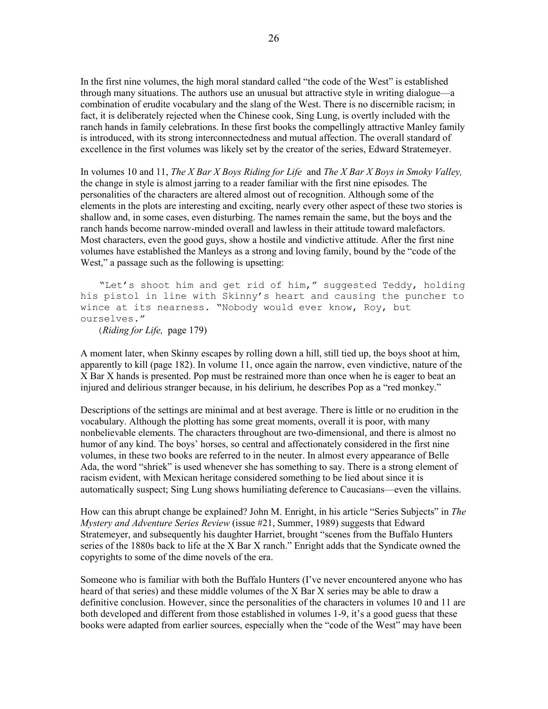In the first nine volumes, the high moral standard called "the code of the West" is established through many situations. The authors use an unusual but attractive style in writing dialogue—a combination of erudite vocabulary and the slang of the West. There is no discernible racism; in fact, it is deliberately rejected when the Chinese cook, Sing Lung, is overtly included with the ranch hands in family celebrations. In these first books the compellingly attractive Manley family is introduced, with its strong interconnectedness and mutual affection. The overall standard of excellence in the first volumes was likely set by the creator of the series, Edward Stratemeyer.

In volumes 10 and 11, The X Bar X Boys Riding for Life and The X Bar X Boys in Smoky Valley, the change in style is almost jarring to a reader familiar with the first nine episodes. The personalities of the characters are altered almost out of recognition. Although some of the elements in the plots are interesting and exciting, nearly every other aspect of these two stories is shallow and, in some cases, even disturbing. The names remain the same, but the boys and the ranch hands become narrow-minded overall and lawless in their attitude toward malefactors. Most characters, even the good guys, show a hostile and vindictive attitude. After the first nine volumes have established the Manleys as a strong and loving family, bound by the "code of the West," a passage such as the following is upsetting:

"Let's shoot him and get rid of him," suggested Teddy, holding his pistol in line with Skinny's heart and causing the puncher to wince at its nearness. "Nobody would ever know, Roy, but ourselves."

(Riding for Life, page 179)

A moment later, when Skinny escapes by rolling down a hill, still tied up, the boys shoot at him, apparently to kill (page 182). In volume 11, once again the narrow, even vindictive, nature of the X Bar X hands is presented. Pop must be restrained more than once when he is eager to beat an injured and delirious stranger because, in his delirium, he describes Pop as a "red monkey."

Descriptions of the settings are minimal and at best average. There is little or no erudition in the vocabulary. Although the plotting has some great moments, overall it is poor, with many nonbelievable elements. The characters throughout are two-dimensional, and there is almost no humor of any kind. The boys' horses, so central and affectionately considered in the first nine volumes, in these two books are referred to in the neuter. In almost every appearance of Belle Ada, the word "shriek" is used whenever she has something to say. There is a strong element of racism evident, with Mexican heritage considered something to be lied about since it is automatically suspect; Sing Lung shows humiliating deference to Caucasians—even the villains.

How can this abrupt change be explained? John M. Enright, in his article "Series Subjects" in The Mystery and Adventure Series Review (issue #21, Summer, 1989) suggests that Edward Stratemeyer, and subsequently his daughter Harriet, brought "scenes from the Buffalo Hunters series of the 1880s back to life at the X Bar X ranch." Enright adds that the Syndicate owned the copyrights to some of the dime novels of the era.

Someone who is familiar with both the Buffalo Hunters (I've never encountered anyone who has heard of that series) and these middle volumes of the X Bar X series may be able to draw a definitive conclusion. However, since the personalities of the characters in volumes 10 and 11 are both developed and different from those established in volumes 1-9, it's a good guess that these books were adapted from earlier sources, especially when the "code of the West" may have been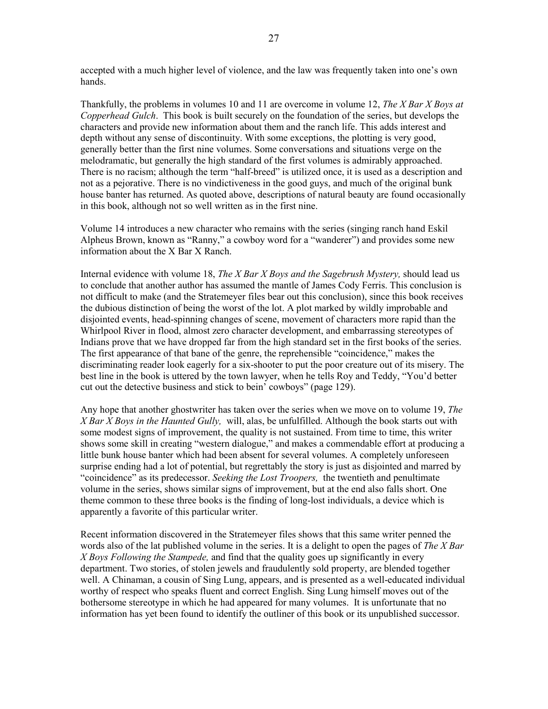accepted with a much higher level of violence, and the law was frequently taken into one's own hands.

Thankfully, the problems in volumes 10 and 11 are overcome in volume 12, The X Bar X Boys at Copperhead Gulch. This book is built securely on the foundation of the series, but develops the characters and provide new information about them and the ranch life. This adds interest and depth without any sense of discontinuity. With some exceptions, the plotting is very good, generally better than the first nine volumes. Some conversations and situations verge on the melodramatic, but generally the high standard of the first volumes is admirably approached. There is no racism; although the term "half-breed" is utilized once, it is used as a description and not as a pejorative. There is no vindictiveness in the good guys, and much of the original bunk house banter has returned. As quoted above, descriptions of natural beauty are found occasionally in this book, although not so well written as in the first nine.

Volume 14 introduces a new character who remains with the series (singing ranch hand Eskil Alpheus Brown, known as "Ranny," a cowboy word for a "wanderer") and provides some new information about the X Bar X Ranch.

Internal evidence with volume 18, The X Bar X Boys and the Sagebrush Mystery, should lead us to conclude that another author has assumed the mantle of James Cody Ferris. This conclusion is not difficult to make (and the Stratemeyer files bear out this conclusion), since this book receives the dubious distinction of being the worst of the lot. A plot marked by wildly improbable and disjointed events, head-spinning changes of scene, movement of characters more rapid than the Whirlpool River in flood, almost zero character development, and embarrassing stereotypes of Indians prove that we have dropped far from the high standard set in the first books of the series. The first appearance of that bane of the genre, the reprehensible "coincidence," makes the discriminating reader look eagerly for a six-shooter to put the poor creature out of its misery. The best line in the book is uttered by the town lawyer, when he tells Roy and Teddy, "You'd better cut out the detective business and stick to bein' cowboys" (page 129).

Any hope that another ghostwriter has taken over the series when we move on to volume 19, The X Bar X Boys in the Haunted Gully, will, alas, be unfulfilled. Although the book starts out with some modest signs of improvement, the quality is not sustained. From time to time, this writer shows some skill in creating "western dialogue," and makes a commendable effort at producing a little bunk house banter which had been absent for several volumes. A completely unforeseen surprise ending had a lot of potential, but regrettably the story is just as disjointed and marred by "coincidence" as its predecessor. Seeking the Lost Troopers, the twentieth and penultimate volume in the series, shows similar signs of improvement, but at the end also falls short. One theme common to these three books is the finding of long-lost individuals, a device which is apparently a favorite of this particular writer.

Recent information discovered in the Stratemeyer files shows that this same writer penned the words also of the lat published volume in the series. It is a delight to open the pages of The X Bar X Boys Following the Stampede, and find that the quality goes up significantly in every department. Two stories, of stolen jewels and fraudulently sold property, are blended together well. A Chinaman, a cousin of Sing Lung, appears, and is presented as a well-educated individual worthy of respect who speaks fluent and correct English. Sing Lung himself moves out of the bothersome stereotype in which he had appeared for many volumes. It is unfortunate that no information has yet been found to identify the outliner of this book or its unpublished successor.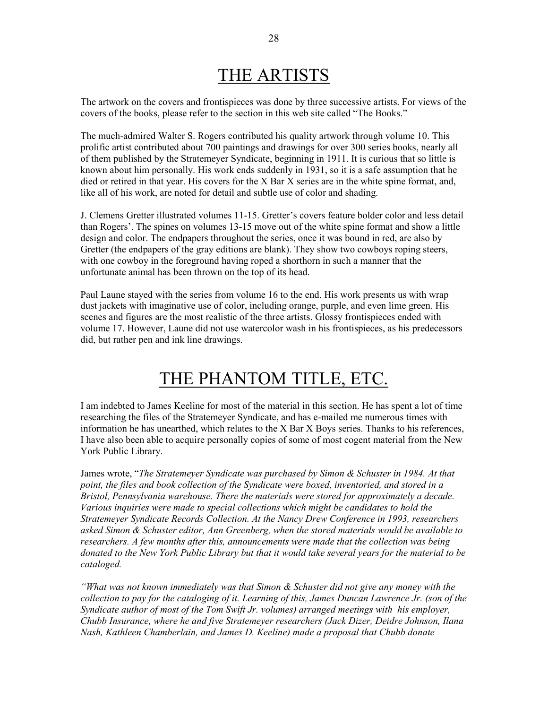# THE ARTISTS

The artwork on the covers and frontispieces was done by three successive artists. For views of the covers of the books, please refer to the section in this web site called "The Books."

The much-admired Walter S. Rogers contributed his quality artwork through volume 10. This prolific artist contributed about 700 paintings and drawings for over 300 series books, nearly all of them published by the Stratemeyer Syndicate, beginning in 1911. It is curious that so little is known about him personally. His work ends suddenly in 1931, so it is a safe assumption that he died or retired in that year. His covers for the X Bar X series are in the white spine format, and, like all of his work, are noted for detail and subtle use of color and shading.

J. Clemens Gretter illustrated volumes 11-15. Gretter's covers feature bolder color and less detail than Rogers'. The spines on volumes 13-15 move out of the white spine format and show a little design and color. The endpapers throughout the series, once it was bound in red, are also by Gretter (the endpapers of the gray editions are blank). They show two cowboys roping steers, with one cowboy in the foreground having roped a shorthorn in such a manner that the unfortunate animal has been thrown on the top of its head.

Paul Laune stayed with the series from volume 16 to the end. His work presents us with wrap dust jackets with imaginative use of color, including orange, purple, and even lime green. His scenes and figures are the most realistic of the three artists. Glossy frontispieces ended with volume 17. However, Laune did not use watercolor wash in his frontispieces, as his predecessors did, but rather pen and ink line drawings.

# THE PHANTOM TITLE, ETC.

I am indebted to James Keeline for most of the material in this section. He has spent a lot of time researching the files of the Stratemeyer Syndicate, and has e-mailed me numerous times with information he has unearthed, which relates to the X Bar X Boys series. Thanks to his references, I have also been able to acquire personally copies of some of most cogent material from the New York Public Library.

James wrote, "The Stratemeyer Syndicate was purchased by Simon & Schuster in 1984. At that point, the files and book collection of the Syndicate were boxed, inventoried, and stored in a Bristol, Pennsylvania warehouse. There the materials were stored for approximately a decade. Various inquiries were made to special collections which might be candidates to hold the Stratemeyer Syndicate Records Collection. At the Nancy Drew Conference in 1993, researchers asked Simon & Schuster editor, Ann Greenberg, when the stored materials would be available to researchers. A few months after this, announcements were made that the collection was being donated to the New York Public Library but that it would take several years for the material to be cataloged.

"What was not known immediately was that Simon & Schuster did not give any money with the collection to pay for the cataloging of it. Learning of this, James Duncan Lawrence Jr. (son of the Syndicate author of most of the Tom Swift Jr. volumes) arranged meetings with his employer, Chubb Insurance, where he and five Stratemeyer researchers (Jack Dizer, Deidre Johnson, Ilana Nash, Kathleen Chamberlain, and James D. Keeline) made a proposal that Chubb donate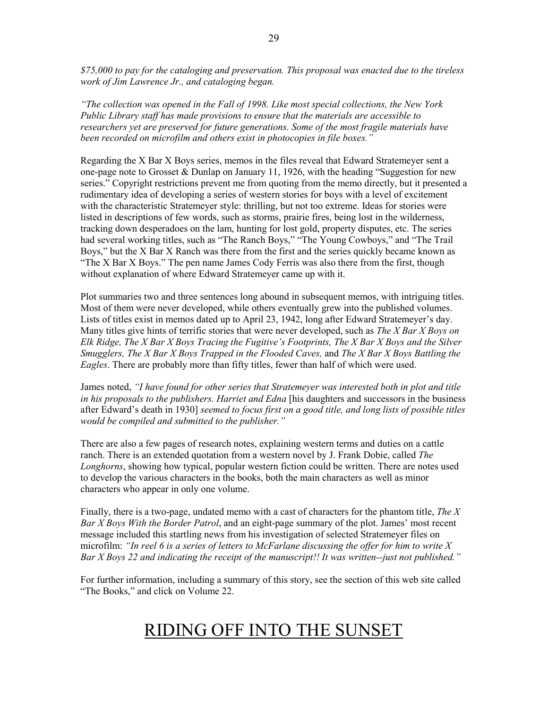\$75,000 to pay for the cataloging and preservation. This proposal was enacted due to the tireless work of Jim Lawrence Jr., and cataloging began.

"The collection was opened in the Fall of 1998. Like most special collections, the New York Public Library staff has made provisions to ensure that the materials are accessible to researchers yet are preserved for future generations. Some of the most fragile materials have been recorded on microfilm and others exist in photocopies in file boxes."

Regarding the X Bar X Boys series, memos in the files reveal that Edward Stratemeyer sent a one-page note to Grosset & Dunlap on January 11, 1926, with the heading "Suggestion for new series." Copyright restrictions prevent me from quoting from the memo directly, but it presented a rudimentary idea of developing a series of western stories for boys with a level of excitement with the characteristic Stratemeyer style: thrilling, but not too extreme. Ideas for stories were listed in descriptions of few words, such as storms, prairie fires, being lost in the wilderness, tracking down desperadoes on the lam, hunting for lost gold, property disputes, etc. The series had several working titles, such as "The Ranch Boys," "The Young Cowboys," and "The Trail Boys," but the X Bar X Ranch was there from the first and the series quickly became known as "The X Bar X Boys." The pen name James Cody Ferris was also there from the first, though without explanation of where Edward Stratemeyer came up with it.

Plot summaries two and three sentences long abound in subsequent memos, with intriguing titles. Most of them were never developed, while others eventually grew into the published volumes. Lists of titles exist in memos dated up to April 23, 1942, long after Edward Stratemeyer's day. Many titles give hints of terrific stories that were never developed, such as *The X Bar X Boys on* Elk Ridge, The  $X$  Bar  $X$  Boys Tracing the Fugitive's Footprints, The  $X$  Bar  $X$  Boys and the Silver Smugglers, The X Bar X Boys Trapped in the Flooded Caves, and The X Bar X Boys Battling the Eagles. There are probably more than fifty titles, fewer than half of which were used.

James noted, "I have found for other series that Stratemeyer was interested both in plot and title in his proposals to the publishers. Harriet and Edna [his daughters and successors in the business after Edward's death in 1930] seemed to focus first on a good title, and long lists of possible titles would be compiled and submitted to the publisher."

There are also a few pages of research notes, explaining western terms and duties on a cattle ranch. There is an extended quotation from a western novel by J. Frank Dobie, called The Longhorns, showing how typical, popular western fiction could be written. There are notes used to develop the various characters in the books, both the main characters as well as minor characters who appear in only one volume.

Finally, there is a two-page, undated memo with a cast of characters for the phantom title, The  $X$ Bar X Boys With the Border Patrol, and an eight-page summary of the plot. James' most recent message included this startling news from his investigation of selected Stratemeyer files on microfilm: "In reel 6 is a series of letters to McFarlane discussing the offer for him to write  $X$ Bar X Boys 22 and indicating the receipt of the manuscript!! It was written--just not published."

For further information, including a summary of this story, see the section of this web site called "The Books," and click on Volume 22.

# RIDING OFF INTO THE SUNSET